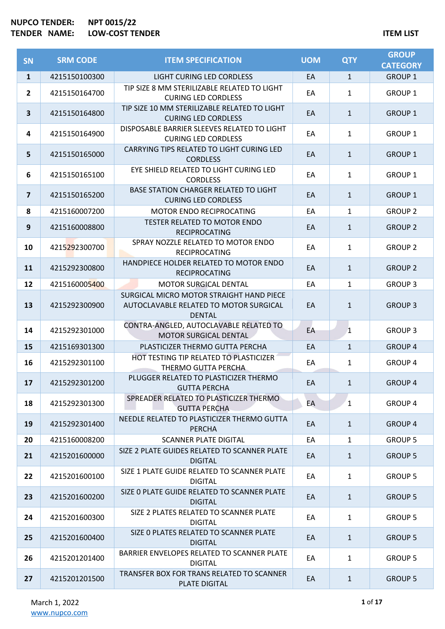| SN                      | <b>SRM CODE</b> | <b>ITEM SPECIFICATION</b>                                                                           | <b>UOM</b> | <b>QTY</b>   | <b>GROUP</b><br><b>CATEGORY</b> |
|-------------------------|-----------------|-----------------------------------------------------------------------------------------------------|------------|--------------|---------------------------------|
| $\mathbf{1}$            | 4215150100300   | LIGHT CURING LED CORDLESS                                                                           | EA         | $\mathbf{1}$ | <b>GROUP 1</b>                  |
| $\overline{2}$          | 4215150164700   | TIP SIZE 8 MM STERILIZABLE RELATED TO LIGHT<br><b>CURING LED CORDLESS</b>                           | EA         | $\mathbf{1}$ | <b>GROUP 1</b>                  |
| $\overline{\mathbf{3}}$ | 4215150164800   | TIP SIZE 10 MM STERILIZABLE RELATED TO LIGHT<br><b>CURING LED CORDLESS</b>                          | EA         | $\mathbf{1}$ | <b>GROUP 1</b>                  |
| 4                       | 4215150164900   | DISPOSABLE BARRIER SLEEVES RELATED TO LIGHT<br><b>CURING LED CORDLESS</b>                           | EA         | $\mathbf{1}$ | <b>GROUP 1</b>                  |
| 5                       | 4215150165000   | CARRYING TIPS RELATED TO LIGHT CURING LED<br><b>CORDLESS</b>                                        | EA         | $\mathbf{1}$ | <b>GROUP 1</b>                  |
| 6                       | 4215150165100   | EYE SHIELD RELATED TO LIGHT CURING LED<br><b>CORDLESS</b>                                           | EA         | $\mathbf{1}$ | <b>GROUP 1</b>                  |
| $\overline{7}$          | 4215150165200   | BASE STATION CHARGER RELATED TO LIGHT<br><b>CURING LED CORDLESS</b>                                 | EA         | $\mathbf{1}$ | <b>GROUP 1</b>                  |
| 8                       | 4215160007200   | <b>MOTOR ENDO RECIPROCATING</b>                                                                     | EA         | $\mathbf{1}$ | <b>GROUP 2</b>                  |
| 9                       | 4215160008800   | <b>TESTER RELATED TO MOTOR ENDO</b><br><b>RECIPROCATING</b>                                         | EA         | $\mathbf{1}$ | <b>GROUP 2</b>                  |
| 10                      | 4215292300700   | SPRAY NOZZLE RELATED TO MOTOR ENDO<br><b>RECIPROCATING</b>                                          | EA         | $\mathbf{1}$ | <b>GROUP 2</b>                  |
| 11                      | 4215292300800   | HANDPIECE HOLDER RELATED TO MOTOR ENDO<br><b>RECIPROCATING</b>                                      | EA         | $\mathbf{1}$ | <b>GROUP 2</b>                  |
| 12                      | 4215160005400   | MOTOR SURGICAL DENTAL                                                                               | EA         | $\mathbf{1}$ | <b>GROUP 3</b>                  |
| 13                      | 4215292300900   | SURGICAL MICRO MOTOR STRAIGHT HAND PIECE<br>AUTOCLAVABLE RELATED TO MOTOR SURGICAL<br><b>DENTAL</b> | EA         | $\mathbf{1}$ | <b>GROUP 3</b>                  |
| 14                      | 4215292301000   | CONTRA-ANGLED, AUTOCLAVABLE RELATED TO<br>MOTOR SURGICAL DENTAL                                     | EA         | $\mathbf{1}$ | <b>GROUP 3</b>                  |
| 15                      | 4215169301300   | PLASTICIZER THERMO GUTTA PERCHA                                                                     | EA         | $\mathbf{1}$ | <b>GROUP 4</b>                  |
| 16                      | 4215292301100   | HOT TESTING TIP RELATED TO PLASTICIZER<br>THERMO GUTTA PERCHA                                       | EA         | $\mathbf{1}$ | <b>GROUP 4</b>                  |
| 17                      | 4215292301200   | PLUGGER RELATED TO PLASTICIZER THERMO<br><b>GUTTA PERCHA</b>                                        | EA         | $\mathbf{1}$ | <b>GROUP 4</b>                  |
| 18                      | 4215292301300   | SPREADER RELATED TO PLASTICIZER THERMO<br><b>GUTTA PERCHA</b>                                       | ЕA         | $\mathbf{1}$ | <b>GROUP 4</b>                  |
| 19                      | 4215292301400   | NEEDLE RELATED TO PLASTICIZER THERMO GUTTA<br><b>PERCHA</b>                                         | EA         | $\mathbf{1}$ | <b>GROUP 4</b>                  |
| 20                      | 4215160008200   | <b>SCANNER PLATE DIGITAL</b>                                                                        | EA         | $\mathbf{1}$ | <b>GROUP 5</b>                  |
| 21                      | 4215201600000   | SIZE 2 PLATE GUIDES RELATED TO SCANNER PLATE<br><b>DIGITAL</b>                                      | EA         | $\mathbf{1}$ | <b>GROUP 5</b>                  |
| 22                      | 4215201600100   | SIZE 1 PLATE GUIDE RELATED TO SCANNER PLATE<br><b>DIGITAL</b>                                       | EA         | $\mathbf{1}$ | <b>GROUP 5</b>                  |
| 23                      | 4215201600200   | SIZE O PLATE GUIDE RELATED TO SCANNER PLATE<br><b>DIGITAL</b>                                       | EA         | $\mathbf{1}$ | <b>GROUP 5</b>                  |
| 24                      | 4215201600300   | SIZE 2 PLATES RELATED TO SCANNER PLATE<br><b>DIGITAL</b>                                            | EA         | $\mathbf{1}$ | <b>GROUP 5</b>                  |
| 25                      | 4215201600400   | SIZE O PLATES RELATED TO SCANNER PLATE<br><b>DIGITAL</b>                                            | EA         | $\mathbf{1}$ | <b>GROUP 5</b>                  |
| 26                      | 4215201201400   | BARRIER ENVELOPES RELATED TO SCANNER PLATE<br><b>DIGITAL</b>                                        | EA         | $\mathbf{1}$ | <b>GROUP 5</b>                  |
| 27                      | 4215201201500   | TRANSFER BOX FOR TRANS RELATED TO SCANNER<br><b>PLATE DIGITAL</b>                                   | EA         | $\mathbf{1}$ | <b>GROUP 5</b>                  |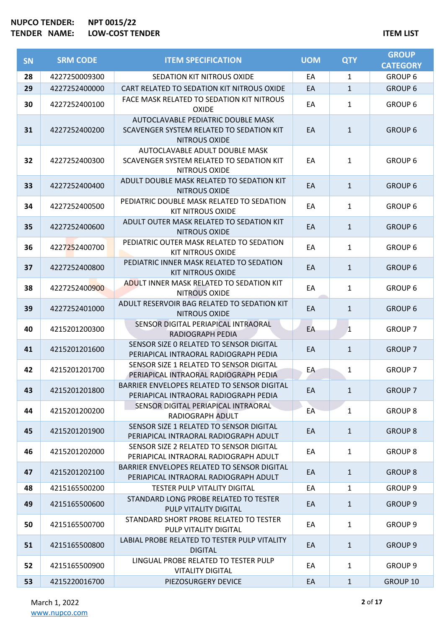| SN | <b>SRM CODE</b> | <b>ITEM SPECIFICATION</b>                                                                       | <b>UOM</b> | <b>QTY</b>   | <b>GROUP</b><br><b>CATEGORY</b> |
|----|-----------------|-------------------------------------------------------------------------------------------------|------------|--------------|---------------------------------|
| 28 | 4227250009300   | SEDATION KIT NITROUS OXIDE                                                                      | EA         | 1            | <b>GROUP 6</b>                  |
| 29 | 4227252400000   | CART RELATED TO SEDATION KIT NITROUS OXIDE                                                      | EA         | $\mathbf{1}$ | <b>GROUP 6</b>                  |
| 30 | 4227252400100   | FACE MASK RELATED TO SEDATION KIT NITROUS<br><b>OXIDE</b>                                       | EA         | $\mathbf{1}$ | <b>GROUP 6</b>                  |
| 31 | 4227252400200   | AUTOCLAVABLE PEDIATRIC DOUBLE MASK<br>SCAVENGER SYSTEM RELATED TO SEDATION KIT<br>NITROUS OXIDE | EA         | $\mathbf{1}$ | <b>GROUP 6</b>                  |
| 32 | 4227252400300   | AUTOCLAVABLE ADULT DOUBLE MASK<br>SCAVENGER SYSTEM RELATED TO SEDATION KIT<br>NITROUS OXIDE     | EA         | $\mathbf{1}$ | <b>GROUP 6</b>                  |
| 33 | 4227252400400   | ADULT DOUBLE MASK RELATED TO SEDATION KIT<br>NITROUS OXIDE                                      | EA         | $\mathbf{1}$ | <b>GROUP 6</b>                  |
| 34 | 4227252400500   | PEDIATRIC DOUBLE MASK RELATED TO SEDATION<br><b>KIT NITROUS OXIDE</b>                           | EA         | $\mathbf{1}$ | <b>GROUP 6</b>                  |
| 35 | 4227252400600   | ADULT OUTER MASK RELATED TO SEDATION KIT<br><b>NITROUS OXIDE</b>                                | EA         | $\mathbf{1}$ | <b>GROUP 6</b>                  |
| 36 | 4227252400700   | PEDIATRIC OUTER MASK RELATED TO SEDATION<br><b>KIT NITROUS OXIDE</b>                            | EA         | $\mathbf{1}$ | <b>GROUP 6</b>                  |
| 37 | 4227252400800   | PEDIATRIC INNER MASK RELATED TO SEDATION<br><b>KIT NITROUS OXIDE</b>                            | EA         | $\mathbf{1}$ | <b>GROUP 6</b>                  |
| 38 | 4227252400900   | ADULT INNER MASK RELATED TO SEDATION KIT<br>NITROUS OXIDE                                       | EA         | $\mathbf{1}$ | <b>GROUP 6</b>                  |
| 39 | 4227252401000   | ADULT RESERVOIR BAG RELATED TO SEDATION KIT<br>NITROUS OXIDE                                    | EA         | $\mathbf{1}$ | <b>GROUP 6</b>                  |
| 40 | 4215201200300   | SENSOR DIGITAL PERIAPICAL INTRAORAL<br>RADIOGRAPH PEDIA                                         | EA         | 1            | <b>GROUP 7</b>                  |
| 41 | 4215201201600   | SENSOR SIZE O RELATED TO SENSOR DIGITAL<br>PERIAPICAL INTRAORAL RADIOGRAPH PEDIA                | EA         | $\mathbf{1}$ | <b>GROUP 7</b>                  |
| 42 | 4215201201700   | SENSOR SIZE 1 RELATED TO SENSOR DIGITAL<br>PERIAPICAL INTRAORAL RADIOGRAPH PEDIA                | EA         | $\mathbf{1}$ | <b>GROUP 7</b>                  |
| 43 | 4215201201800   | BARRIER ENVELOPES RELATED TO SENSOR DIGITAL<br>PERIAPICAL INTRAORAL RADIOGRAPH PEDIA            | EA         | $\mathbf{1}$ | <b>GROUP 7</b>                  |
| 44 | 4215201200200   | SENSOR DIGITAL PERIAPICAL INTRAORAL<br>RADIOGRAPH ADULT                                         | EA         | $\mathbf{1}$ | <b>GROUP 8</b>                  |
| 45 | 4215201201900   | SENSOR SIZE 1 RELATED TO SENSOR DIGITAL<br>PERIAPICAL INTRAORAL RADIOGRAPH ADULT                | EA         | $\mathbf{1}$ | <b>GROUP 8</b>                  |
| 46 | 4215201202000   | SENSOR SIZE 2 RELATED TO SENSOR DIGITAL<br>PERIAPICAL INTRAORAL RADIOGRAPH ADULT                | EA         | $\mathbf{1}$ | <b>GROUP 8</b>                  |
| 47 | 4215201202100   | BARRIER ENVELOPES RELATED TO SENSOR DIGITAL<br>PERIAPICAL INTRAORAL RADIOGRAPH ADULT            | EA         | $\mathbf{1}$ | <b>GROUP 8</b>                  |
| 48 | 4215165500200   | <b>TESTER PULP VITALITY DIGITAL</b>                                                             | EA         | $\mathbf{1}$ | GROUP <sub>9</sub>              |
| 49 | 4215165500600   | STANDARD LONG PROBE RELATED TO TESTER<br>PULP VITALITY DIGITAL                                  | EA         | $\mathbf{1}$ | <b>GROUP 9</b>                  |
| 50 | 4215165500700   | STANDARD SHORT PROBE RELATED TO TESTER<br>PULP VITALITY DIGITAL                                 | EA         | $\mathbf{1}$ | GROUP <sub>9</sub>              |
| 51 | 4215165500800   | LABIAL PROBE RELATED TO TESTER PULP VITALITY<br><b>DIGITAL</b>                                  | EA         | $\mathbf{1}$ | <b>GROUP 9</b>                  |
| 52 | 4215165500900   | LINGUAL PROBE RELATED TO TESTER PULP<br><b>VITALITY DIGITAL</b>                                 | EA         | $\mathbf{1}$ | GROUP 9                         |
| 53 | 4215220016700   | PIEZOSURGERY DEVICE                                                                             | EA         | $\mathbf{1}$ | GROUP 10                        |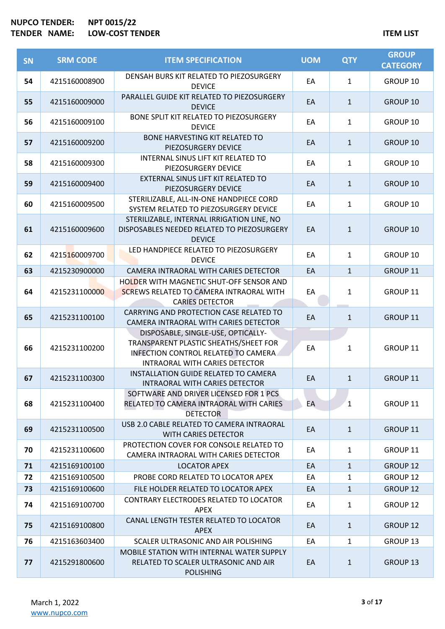| SN | <b>SRM CODE</b> | <b>ITEM SPECIFICATION</b>                                                                                                                             | <b>UOM</b> | <b>QTY</b>   | <b>GROUP</b><br><b>CATEGORY</b> |
|----|-----------------|-------------------------------------------------------------------------------------------------------------------------------------------------------|------------|--------------|---------------------------------|
| 54 | 4215160008900   | DENSAH BURS KIT RELATED TO PIEZOSURGERY<br><b>DEVICE</b>                                                                                              | EA         | $\mathbf{1}$ | GROUP 10                        |
| 55 | 4215160009000   | PARALLEL GUIDE KIT RELATED TO PIEZOSURGERY<br><b>DEVICE</b>                                                                                           | EA         | $\mathbf{1}$ | GROUP 10                        |
| 56 | 4215160009100   | BONE SPLIT KIT RELATED TO PIEZOSURGERY<br><b>DEVICE</b>                                                                                               | EA         | $\mathbf{1}$ | GROUP 10                        |
| 57 | 4215160009200   | <b>BONE HARVESTING KIT RELATED TO</b><br>PIEZOSURGERY DEVICE                                                                                          | EA         | $\mathbf{1}$ | GROUP 10                        |
| 58 | 4215160009300   | INTERNAL SINUS LIFT KIT RELATED TO<br>PIEZOSURGERY DEVICE                                                                                             | EA         | $\mathbf{1}$ | GROUP 10                        |
| 59 | 4215160009400   | EXTERNAL SINUS LIFT KIT RELATED TO<br>PIEZOSURGERY DEVICE                                                                                             | EA         | $\mathbf{1}$ | GROUP 10                        |
| 60 | 4215160009500   | STERILIZABLE, ALL-IN-ONE HANDPIECE CORD<br>SYSTEM RELATED TO PIEZOSURGERY DEVICE                                                                      | EA         | 1            | GROUP 10                        |
| 61 | 4215160009600   | STERILIZABLE, INTERNAL IRRIGATION LINE, NO<br>DISPOSABLES NEEDED RELATED TO PIEZOSURGERY<br><b>DEVICE</b>                                             | EA         | $\mathbf{1}$ | <b>GROUP 10</b>                 |
| 62 | 4215160009700   | LED HANDPIECE RELATED TO PIEZOSURGERY<br><b>DEVICE</b>                                                                                                | EA         | $\mathbf{1}$ | GROUP 10                        |
| 63 | 4215230900000   | CAMERA INTRAORAL WITH CARIES DETECTOR                                                                                                                 | EA         | $\mathbf{1}$ | GROUP 11                        |
| 64 | 4215231100000   | HOLDER WITH MAGNETIC SHUT-OFF SENSOR AND<br><b>SCREWS RELATED TO CAMERA INTRAORAL WITH</b><br><b>CARIES DETECTOR</b>                                  | EA         | $\mathbf{1}$ | GROUP 11                        |
| 65 | 4215231100100   | CARRYING AND PROTECTION CASE RELATED TO<br>CAMERA INTRAORAL WITH CARIES DETECTOR                                                                      | EA         | $\mathbf{1}$ | GROUP 11                        |
| 66 | 4215231100200   | DISPOSABLE, SINGLE-USE, OPTICALLY-<br>TRANSPARENT PLASTIC SHEATHS/SHEET FOR<br>INFECTION CONTROL RELATED TO CAMERA.<br>INTRAORAL WITH CARIES DETECTOR | EA         | 1            | GROUP 11                        |
| 67 | 4215231100300   | INSTALLATION GUIDE RELATED TO CAMERA<br>INTRAORAL WITH CARIES DETECTOR                                                                                | EA         | $\mathbf{1}$ | GROUP 11                        |
| 68 | 4215231100400   | SOFTWARE AND DRIVER LICENSED FOR 1 PCS<br>RELATED TO CAMERA INTRAORAL WITH CARIES<br><b>DETECTOR</b>                                                  | EA         | 1            | GROUP 11                        |
| 69 | 4215231100500   | USB 2.0 CABLE RELATED TO CAMERA INTRAORAL<br>WITH CARIES DETECTOR                                                                                     | EA         | $\mathbf{1}$ | <b>GROUP 11</b>                 |
| 70 | 4215231100600   | PROTECTION COVER FOR CONSOLE RELATED TO<br>CAMERA INTRAORAL WITH CARIES DETECTOR                                                                      | EA         | $\mathbf{1}$ | GROUP 11                        |
| 71 | 4215169100100   | <b>LOCATOR APEX</b>                                                                                                                                   | EA         | $\mathbf{1}$ | <b>GROUP 12</b>                 |
| 72 | 4215169100500   | PROBE CORD RELATED TO LOCATOR APEX                                                                                                                    | EA         | 1            | GROUP 12                        |
| 73 | 4215169100600   | FILE HOLDER RELATED TO LOCATOR APEX                                                                                                                   | EA         | $\mathbf{1}$ | <b>GROUP 12</b>                 |
| 74 | 4215169100700   | CONTRARY ELECTRODES RELATED TO LOCATOR<br><b>APEX</b>                                                                                                 | EA         | $\mathbf{1}$ | GROUP 12                        |
| 75 | 4215169100800   | CANAL LENGTH TESTER RELATED TO LOCATOR<br><b>APEX</b>                                                                                                 | EA         | $\mathbf{1}$ | <b>GROUP 12</b>                 |
| 76 | 4215163603400   | SCALER ULTRASONIC AND AIR POLISHING                                                                                                                   | EA         | $\mathbf{1}$ | GROUP 13                        |
| 77 | 4215291800600   | <b>MOBILE STATION WITH INTERNAL WATER SUPPLY</b><br>RELATED TO SCALER ULTRASONIC AND AIR<br><b>POLISHING</b>                                          | EA         | $\mathbf{1}$ | <b>GROUP 13</b>                 |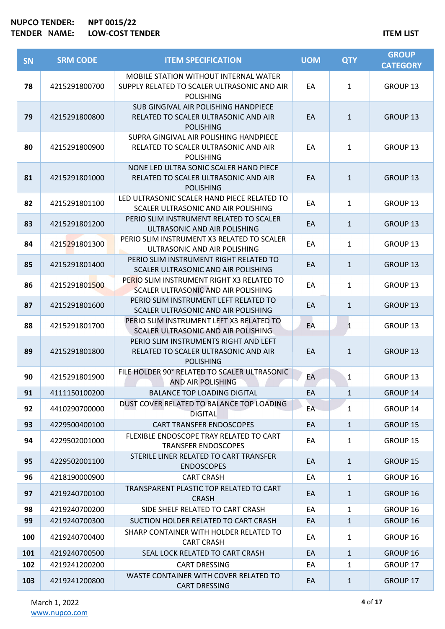| <b>SN</b> | <b>SRM CODE</b> | <b>ITEM SPECIFICATION</b>                                                                                | <b>UOM</b> | <b>QTY</b>   | <b>GROUP</b><br><b>CATEGORY</b> |
|-----------|-----------------|----------------------------------------------------------------------------------------------------------|------------|--------------|---------------------------------|
| 78        | 4215291800700   | MOBILE STATION WITHOUT INTERNAL WATER<br>SUPPLY RELATED TO SCALER ULTRASONIC AND AIR<br><b>POLISHING</b> | EA         | $\mathbf{1}$ | GROUP 13                        |
| 79        | 4215291800800   | SUB GINGIVAL AIR POLISHING HANDPIECE<br>RELATED TO SCALER ULTRASONIC AND AIR<br><b>POLISHING</b>         | EA         | $\mathbf{1}$ | <b>GROUP 13</b>                 |
| 80        | 4215291800900   | SUPRA GINGIVAL AIR POLISHING HANDPIECE<br>RELATED TO SCALER ULTRASONIC AND AIR<br><b>POLISHING</b>       | EA         | $\mathbf{1}$ | GROUP 13                        |
| 81        | 4215291801000   | NONE LED ULTRA SONIC SCALER HAND PIECE<br>RELATED TO SCALER ULTRASONIC AND AIR<br><b>POLISHING</b>       | EA         | $\mathbf{1}$ | <b>GROUP 13</b>                 |
| 82        | 4215291801100   | LED ULTRASONIC SCALER HAND PIECE RELATED TO<br>SCALER ULTRASONIC AND AIR POLISHING                       | EA         | 1            | GROUP 13                        |
| 83        | 4215291801200   | PERIO SLIM INSTRUMENT RELATED TO SCALER<br>ULTRASONIC AND AIR POLISHING                                  | EA         | $\mathbf{1}$ | <b>GROUP 13</b>                 |
| 84        | 4215291801300   | PERIO SLIM INSTRUMENT X3 RELATED TO SCALER<br>ULTRASONIC AND AIR POLISHING                               | EA         | $\mathbf{1}$ | GROUP 13                        |
| 85        | 4215291801400   | PERIO SLIM INSTRUMENT RIGHT RELATED TO<br>SCALER ULTRASONIC AND AIR POLISHING                            | EA         | $\mathbf{1}$ | <b>GROUP 13</b>                 |
| 86        | 4215291801500   | PERIO SLIM INSTRUMENT RIGHT X3 RELATED TO<br>SCALER ULTRASONIC AND AIR POLISHING                         | EA         | $\mathbf{1}$ | GROUP 13                        |
| 87        | 4215291801600   | PERIO SLIM INSTRUMENT LEFT RELATED TO<br>SCALER ULTRASONIC AND AIR POLISHING                             | EA         | $\mathbf{1}$ | <b>GROUP 13</b>                 |
| 88        | 4215291801700   | PERIO SLIM INSTRUMENT LEFT X3 RELATED TO<br>SCALER ULTRASONIC AND AIR POLISHING                          | EA         | 1            | GROUP 13                        |
| 89        | 4215291801800   | PERIO SLIM INSTRUMENTS RIGHT AND LEFT<br>RELATED TO SCALER ULTRASONIC AND AIR<br><b>POLISHING</b>        | EA         | $\mathbf{1}$ | <b>GROUP 13</b>                 |
| 90        | 4215291801900   | FILE HOLDER 90° RELATED TO SCALER ULTRASONIC<br><b>AND AIR POLISHING</b>                                 | EA         | $\mathbf{1}$ | <b>GROUP 13</b>                 |
| 91        | 4111150100200   | <b>BALANCE TOP LOADING DIGITAL</b>                                                                       | EA         | $\mathbf{1}$ | GROUP 14                        |
| 92        | 4410290700000   | DUST COVER RELATED TO BALANCE TOP LOADING<br><b>DIGITAL</b>                                              | EA         | $\mathbf{1}$ | GROUP 14                        |
| 93        | 4229500400100   | <b>CART TRANSFER ENDOSCOPES</b>                                                                          | EA         | $\mathbf{1}$ | GROUP 15                        |
| 94        | 4229502001000   | FLEXIBLE ENDOSCOPE TRAY RELATED TO CART<br><b>TRANSFER ENDOSCOPES</b>                                    | EA         | $\mathbf{1}$ | GROUP 15                        |
| 95        | 4229502001100   | STERILE LINER RELATED TO CART TRANSFER<br><b>ENDOSCOPES</b>                                              | EA         | $\mathbf{1}$ | <b>GROUP 15</b>                 |
| 96        | 4218190000900   | <b>CART CRASH</b>                                                                                        | EA         | $\mathbf{1}$ | GROUP 16                        |
| 97        | 4219240700100   | TRANSPARENT PLASTIC TOP RELATED TO CART<br><b>CRASH</b>                                                  | EA         | $\mathbf{1}$ | GROUP 16                        |
| 98        | 4219240700200   | SIDE SHELF RELATED TO CART CRASH                                                                         | EA         | $\mathbf{1}$ | GROUP 16                        |
| 99        | 4219240700300   | SUCTION HOLDER RELATED TO CART CRASH                                                                     | EA         | $\mathbf{1}$ | GROUP 16                        |
| 100       | 4219240700400   | SHARP CONTAINER WITH HOLDER RELATED TO<br><b>CART CRASH</b>                                              | EA         | $\mathbf{1}$ | GROUP 16                        |
| 101       | 4219240700500   | SEAL LOCK RELATED TO CART CRASH                                                                          | EA         | $\mathbf{1}$ | GROUP 16                        |
| 102       | 4219241200200   | <b>CART DRESSING</b>                                                                                     | EA         | $\mathbf{1}$ | GROUP 17                        |
| 103       | 4219241200800   | WASTE CONTAINER WITH COVER RELATED TO<br><b>CART DRESSING</b>                                            | EA         | $\mathbf{1}$ | GROUP 17                        |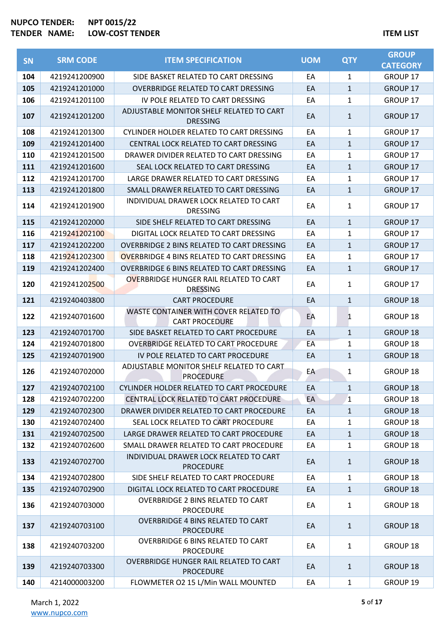|           | <b>SRM CODE</b> | <b>ITEM SPECIFICATION</b>                                        | <b>UOM</b> | <b>QTY</b>   | <b>GROUP</b>    |
|-----------|-----------------|------------------------------------------------------------------|------------|--------------|-----------------|
| <b>SN</b> |                 |                                                                  |            |              | <b>CATEGORY</b> |
| 104       | 4219241200900   | SIDE BASKET RELATED TO CART DRESSING                             | EA         | 1            | <b>GROUP 17</b> |
| 105       | 4219241201000   | <b>OVERBRIDGE RELATED TO CART DRESSING</b>                       | EA         | $\mathbf{1}$ | <b>GROUP 17</b> |
| 106       | 4219241201100   | IV POLE RELATED TO CART DRESSING                                 | EA         | 1            | <b>GROUP 17</b> |
| 107       | 4219241201200   | ADJUSTABLE MONITOR SHELF RELATED TO CART<br><b>DRESSING</b>      | EA         | $\mathbf{1}$ | <b>GROUP 17</b> |
| 108       | 4219241201300   | CYLINDER HOLDER RELATED TO CART DRESSING                         | EA         | 1            | GROUP 17        |
| 109       | 4219241201400   | CENTRAL LOCK RELATED TO CART DRESSING                            | EA         | $\mathbf{1}$ | <b>GROUP 17</b> |
| 110       | 4219241201500   | DRAWER DIVIDER RELATED TO CART DRESSING                          | EA         | $\mathbf{1}$ | <b>GROUP 17</b> |
| 111       | 4219241201600   | SEAL LOCK RELATED TO CART DRESSING                               | EA         | $\mathbf{1}$ | <b>GROUP 17</b> |
| 112       | 4219241201700   | LARGE DRAWER RELATED TO CART DRESSING                            | EA         | $\mathbf{1}$ | <b>GROUP 17</b> |
| 113       | 4219241201800   | SMALL DRAWER RELATED TO CART DRESSING                            | EA         | $\mathbf{1}$ | GROUP 17        |
| 114       | 4219241201900   | INDIVIDUAL DRAWER LOCK RELATED TO CART<br><b>DRESSING</b>        | EA         | 1            | <b>GROUP 17</b> |
| 115       | 4219241202000   | SIDE SHELF RELATED TO CART DRESSING                              | EA         | $\mathbf{1}$ | <b>GROUP 17</b> |
| 116       | 4219241202100   | DIGITAL LOCK RELATED TO CART DRESSING                            | EA         | 1            | <b>GROUP 17</b> |
| 117       | 4219241202200   | OVERBRIDGE 2 BINS RELATED TO CART DRESSING                       | EA         | $\mathbf{1}$ | <b>GROUP 17</b> |
| 118       | 4219241202300   | OVERBRIDGE 4 BINS RELATED TO CART DRESSING                       | EA         | 1            | GROUP 17        |
| 119       | 4219241202400   | OVERBRIDGE 6 BINS RELATED TO CART DRESSING                       | EA         | $\mathbf{1}$ | GROUP 17        |
| 120       | 4219241202500   | <b>OVERBRIDGE HUNGER RAIL RELATED TO CART</b><br><b>DRESSING</b> | EA         | $\mathbf{1}$ | GROUP 17        |
| 121       | 4219240403800   | <b>CART PROCEDURE</b>                                            | EA         | $\mathbf{1}$ | GROUP 18        |
| 122       | 4219240701600   | WASTE CONTAINER WITH COVER RELATED TO<br><b>CART PROCEDURE</b>   | EA         | 1            | GROUP 18        |
| 123       | 4219240701700   | SIDE BASKET RELATED TO CART PROCEDURE                            | EA         | $\mathbf{1}$ | <b>GROUP 18</b> |
| 124       | 4219240701800   | <b>OVERBRIDGE RELATED TO CART PROCEDURE</b>                      | EA         | $\mathbf{1}$ | <b>GROUP 18</b> |
| 125       | 4219240701900   | IV POLE RELATED TO CART PROCEDURE                                | EA         | $\mathbf{1}$ | <b>GROUP 18</b> |
| 126       | 4219240702000   | ADJUSTABLE MONITOR SHELF RELATED TO CART<br><b>PROCEDURE</b>     | EA         | 1            | <b>GROUP 18</b> |
| 127       | 4219240702100   | CYLINDER HOLDER RELATED TO CART PROCEDURE                        | EA         | $\mathbf{1}$ | <b>GROUP 18</b> |
| 128       | 4219240702200   | CENTRAL LOCK RELATED TO CART PROCEDURE                           | EA         | 1            | GROUP 18        |
| 129       | 4219240702300   | DRAWER DIVIDER RELATED TO CART PROCEDURE                         | EA         | $\mathbf{1}$ | <b>GROUP 18</b> |
| 130       | 4219240702400   | SEAL LOCK RELATED TO CART PROCEDURE                              | EA         | 1            | GROUP 18        |
| 131       | 4219240702500   | LARGE DRAWER RELATED TO CART PROCEDURE                           | EA         | $\mathbf{1}$ | GROUP 18        |
| 132       | 4219240702600   | SMALL DRAWER RELATED TO CART PROCEDURE                           | EA         | 1            | GROUP 18        |
| 133       | 4219240702700   | INDIVIDUAL DRAWER LOCK RELATED TO CART<br><b>PROCEDURE</b>       | EA         | $\mathbf{1}$ | <b>GROUP 18</b> |
| 134       | 4219240702800   | SIDE SHELF RELATED TO CART PROCEDURE                             | EA         | 1            | <b>GROUP 18</b> |
| 135       | 4219240702900   | DIGITAL LOCK RELATED TO CART PROCEDURE                           | EA         | $\mathbf{1}$ | <b>GROUP 18</b> |
| 136       | 4219240703000   | <b>OVERBRIDGE 2 BINS RELATED TO CART</b><br><b>PROCEDURE</b>     | EA         | $\mathbf{1}$ | GROUP 18        |
| 137       | 4219240703100   | <b>OVERBRIDGE 4 BINS RELATED TO CART</b><br><b>PROCEDURE</b>     | EA         | $\mathbf{1}$ | <b>GROUP 18</b> |
| 138       | 4219240703200   | <b>OVERBRIDGE 6 BINS RELATED TO CART</b><br><b>PROCEDURE</b>     | EA         | $\mathbf{1}$ | GROUP 18        |
| 139       | 4219240703300   | OVERBRIDGE HUNGER RAIL RELATED TO CART<br><b>PROCEDURE</b>       | EA         | $\mathbf{1}$ | <b>GROUP 18</b> |
| 140       | 4214000003200   | FLOWMETER O2 15 L/Min WALL MOUNTED                               | EA         | 1            | GROUP 19        |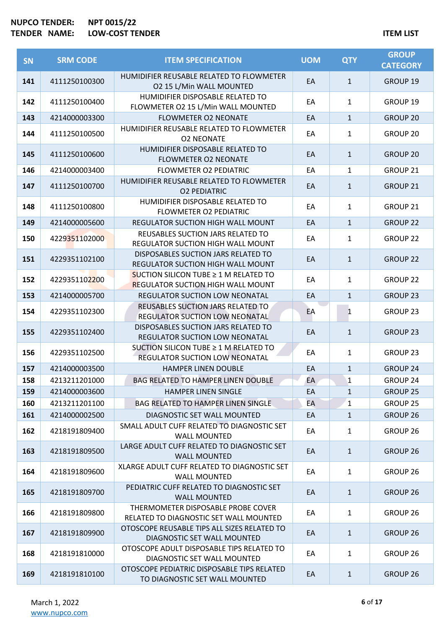| SN  | <b>SRM CODE</b> | <b>ITEM SPECIFICATION</b>                                                              | <b>UOM</b> | <b>QTY</b>   | <b>GROUP</b><br><b>CATEGORY</b> |
|-----|-----------------|----------------------------------------------------------------------------------------|------------|--------------|---------------------------------|
| 141 | 4111250100300   | HUMIDIFIER REUSABLE RELATED TO FLOWMETER<br>02 15 L/Min WALL MOUNTED                   | EA         | $\mathbf{1}$ | GROUP 19                        |
| 142 | 4111250100400   | HUMIDIFIER DISPOSABLE RELATED TO<br>FLOWMETER O2 15 L/Min WALL MOUNTED                 | EA         | $\mathbf{1}$ | GROUP 19                        |
| 143 | 4214000003300   | <b>FLOWMETER O2 NEONATE</b>                                                            | EA         | $\mathbf{1}$ | <b>GROUP 20</b>                 |
| 144 | 4111250100500   | HUMIDIFIER REUSABLE RELATED TO FLOWMETER<br><b>O2 NEONATE</b>                          | EA         | $\mathbf{1}$ | GROUP 20                        |
| 145 | 4111250100600   | HUMIDIFIER DISPOSABLE RELATED TO<br><b>FLOWMETER O2 NEONATE</b>                        | EA         | $\mathbf{1}$ | <b>GROUP 20</b>                 |
| 146 | 4214000003400   | <b>FLOWMETER O2 PEDIATRIC</b>                                                          | EA         | $\mathbf{1}$ | GROUP 21                        |
| 147 | 4111250100700   | HUMIDIFIER REUSABLE RELATED TO FLOWMETER<br><b>O2 PEDIATRIC</b>                        | EA         | $\mathbf{1}$ | GROUP 21                        |
| 148 | 4111250100800   | HUMIDIFIER DISPOSABLE RELATED TO<br><b>FLOWMETER O2 PEDIATRIC</b>                      | EA         | $\mathbf{1}$ | GROUP <sub>21</sub>             |
| 149 | 4214000005600   | REGULATOR SUCTION HIGH WALL MOUNT                                                      | EA         | $\mathbf{1}$ | <b>GROUP 22</b>                 |
| 150 | 4229351102000   | REUSABLES SUCTION JARS RELATED TO<br>REGULATOR SUCTION HIGH WALL MOUNT                 | EA         | $\mathbf{1}$ | <b>GROUP 22</b>                 |
| 151 | 4229351102100   | DISPOSABLES SUCTION JARS RELATED TO<br>REGULATOR SUCTION HIGH WALL MOUNT               | EA         | $\mathbf{1}$ | <b>GROUP 22</b>                 |
| 152 | 4229351102200   | SUCTION SILICON TUBE $\geq 1$ M RELATED TO<br><b>REGULATOR SUCTION HIGH WALL MOUNT</b> | EA         | $\mathbf{1}$ | GROUP <sub>22</sub>             |
| 153 | 4214000005700   | <b>REGULATOR SUCTION LOW NEONATAL</b>                                                  | EA         | $\mathbf{1}$ | <b>GROUP 23</b>                 |
| 154 | 4229351102300   | REUSABLES SUCTION JARS RELATED TO<br>REGULATOR SUCTION LOW NEONATAL                    | EA         | $\mathbf{1}$ | GROUP 23                        |
| 155 | 4229351102400   | DISPOSABLES SUCTION JARS RELATED TO<br>REGULATOR SUCTION LOW NEONATAL                  | EA         | $\mathbf{1}$ | <b>GROUP 23</b>                 |
| 156 | 4229351102500   | SUCTION SILICON TUBE ≥ 1 M RELATED TO<br>REGULATOR SUCTION LOW NEONATAL                | EA         | $\mathbf{1}$ | GROUP <sub>23</sub>             |
| 157 | 4214000003500   | <b>HAMPER LINEN DOUBLE</b>                                                             | EA         | $\mathbf{1}$ | <b>GROUP 24</b>                 |
| 158 | 4213211201000   | <b>BAG RELATED TO HAMPER LINEN DOUBLE</b>                                              | EA         | 1            | <b>GROUP 24</b>                 |
| 159 | 4214000003600   | <b>HAMPER LINEN SINGLE</b>                                                             | EA         | $\mathbf{1}$ | <b>GROUP 25</b>                 |
| 160 | 4213211201100   | <b>BAG RELATED TO HAMPER LINEN SINGLE</b>                                              | ЕA         | $\mathbf{1}$ | GROUP 25                        |
| 161 | 4214000002500   | DIAGNOSTIC SET WALL MOUNTED                                                            | EA         | $\mathbf{1}$ | GROUP 26                        |
| 162 | 4218191809400   | SMALL ADULT CUFF RELATED TO DIAGNOSTIC SET<br><b>WALL MOUNTED</b>                      | EA         | $\mathbf{1}$ | GROUP <sub>26</sub>             |
| 163 | 4218191809500   | LARGE ADULT CUFF RELATED TO DIAGNOSTIC SET<br><b>WALL MOUNTED</b>                      | EA         | $\mathbf{1}$ | <b>GROUP 26</b>                 |
| 164 | 4218191809600   | XLARGE ADULT CUFF RELATED TO DIAGNOSTIC SET<br><b>WALL MOUNTED</b>                     | EA         | 1            | GROUP <sub>26</sub>             |
| 165 | 4218191809700   | PEDIATRIC CUFF RELATED TO DIAGNOSTIC SET<br><b>WALL MOUNTED</b>                        | EA         | $\mathbf{1}$ | <b>GROUP 26</b>                 |
| 166 | 4218191809800   | THERMOMETER DISPOSABLE PROBE COVER<br>RELATED TO DIAGNOSTIC SET WALL MOUNTED           | EA         | $\mathbf{1}$ | GROUP <sub>26</sub>             |
| 167 | 4218191809900   | OTOSCOPE REUSABLE TIPS ALL SIZES RELATED TO<br>DIAGNOSTIC SET WALL MOUNTED             | EA         | $\mathbf{1}$ | GROUP 26                        |
| 168 | 4218191810000   | OTOSCOPE ADULT DISPOSABLE TIPS RELATED TO<br>DIAGNOSTIC SET WALL MOUNTED               | EA         | $\mathbf{1}$ | GROUP 26                        |
| 169 | 4218191810100   | OTOSCOPE PEDIATRIC DISPOSABLE TIPS RELATED<br>TO DIAGNOSTIC SET WALL MOUNTED           | EA         | 1            | <b>GROUP 26</b>                 |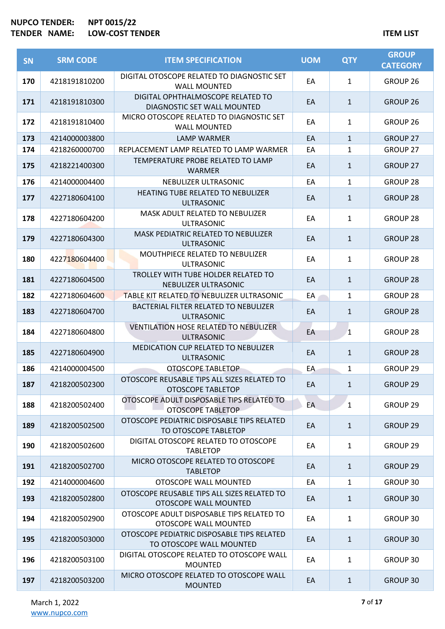| <b>SN</b> | <b>SRM CODE</b> | <b>ITEM SPECIFICATION</b>                                               | <b>UOM</b> | <b>QTY</b>   | <b>GROUP</b><br><b>CATEGORY</b> |
|-----------|-----------------|-------------------------------------------------------------------------|------------|--------------|---------------------------------|
| 170       | 4218191810200   | DIGITAL OTOSCOPE RELATED TO DIAGNOSTIC SET<br><b>WALL MOUNTED</b>       | EA         | $\mathbf{1}$ | <b>GROUP 26</b>                 |
| 171       | 4218191810300   | DIGITAL OPHTHALMOSCOPE RELATED TO<br>DIAGNOSTIC SET WALL MOUNTED        | EA         | $\mathbf{1}$ | <b>GROUP 26</b>                 |
| 172       | 4218191810400   | MICRO OTOSCOPE RELATED TO DIAGNOSTIC SET<br><b>WALL MOUNTED</b>         | EA         | $\mathbf{1}$ | GROUP <sub>26</sub>             |
| 173       | 4214000003800   | <b>LAMP WARMER</b>                                                      | EA         | $\mathbf{1}$ | <b>GROUP 27</b>                 |
| 174       | 4218260000700   | REPLACEMENT LAMP RELATED TO LAMP WARMER                                 | EA         | $\mathbf{1}$ | GROUP 27                        |
| 175       | 4218221400300   | TEMPERATURE PROBE RELATED TO LAMP<br><b>WARMER</b>                      | EA         | $\mathbf{1}$ | <b>GROUP 27</b>                 |
| 176       | 4214000004400   | NEBULIZER ULTRASONIC                                                    | EA         | $\mathbf{1}$ | <b>GROUP 28</b>                 |
| 177       | 4227180604100   | <b>HEATING TUBE RELATED TO NEBULIZER</b><br><b>ULTRASONIC</b>           | EA         | $\mathbf{1}$ | <b>GROUP 28</b>                 |
| 178       | 4227180604200   | MASK ADULT RELATED TO NEBULIZER<br><b>ULTRASONIC</b>                    | EA         | $\mathbf{1}$ | <b>GROUP 28</b>                 |
| 179       | 4227180604300   | MASK PEDIATRIC RELATED TO NEBULIZER<br><b>ULTRASONIC</b>                | EA         | $\mathbf{1}$ | <b>GROUP 28</b>                 |
| 180       | 4227180604400   | <b>MOUTHPIECE RELATED TO NEBULIZER</b><br><b>ULTRASONIC</b>             | EA         | $\mathbf{1}$ | <b>GROUP 28</b>                 |
| 181       | 4227180604500   | TROLLEY WITH TUBE HOLDER RELATED TO<br>NEBULIZER ULTRASONIC             | EA         | $\mathbf{1}$ | <b>GROUP 28</b>                 |
| 182       | 4227180604600   | TABLE KIT RELATED TO NEBULIZER ULTRASONIC                               | EA         | $\mathbf{1}$ | GROUP 28                        |
| 183       | 4227180604700   | BACTERIAL FILTER RELATED TO NEBULIZER<br><b>ULTRASONIC</b>              | EA         | $\mathbf{1}$ | <b>GROUP 28</b>                 |
| 184       | 4227180604800   | <b>VENTILATION HOSE RELATED TO NEBULIZER</b><br><b>ULTRASONIC</b>       | EA         | $\mathbf{1}$ | <b>GROUP 28</b>                 |
| 185       | 4227180604900   | MEDICATION CUP RELATED TO NEBULIZER<br><b>ULTRASONIC</b>                | EA         | $\mathbf{1}$ | <b>GROUP 28</b>                 |
| 186       | 4214000004500   | OTOSCOPE TABLETOP                                                       | EA         | 1            | <b>GROUP 29</b>                 |
| 187       | 4218200502300   | OTOSCOPE REUSABLE TIPS ALL SIZES RELATED TO<br><b>OTOSCOPE TABLETOP</b> | EA         | $\mathbf{1}$ | GROUP <sub>29</sub>             |
| 188       | 4218200502400   | OTOSCOPE ADULT DISPOSABLE TIPS RELATED TO<br><b>OTOSCOPE TABLETOP</b>   | EA         | $\mathbf{1}$ | GROUP 29                        |
| 189       | 4218200502500   | OTOSCOPE PEDIATRIC DISPOSABLE TIPS RELATED<br>TO OTOSCOPE TABLETOP      | EA         | $\mathbf{1}$ | GROUP 29                        |
| 190       | 4218200502600   | DIGITAL OTOSCOPE RELATED TO OTOSCOPE<br><b>TABLETOP</b>                 | EA         | 1            | GROUP 29                        |
| 191       | 4218200502700   | MICRO OTOSCOPE RELATED TO OTOSCOPE<br><b>TABLETOP</b>                   | EA         | $\mathbf{1}$ | <b>GROUP 29</b>                 |
| 192       | 4214000004600   | OTOSCOPE WALL MOUNTED                                                   | EA         | $\mathbf{1}$ | GROUP 30                        |
| 193       | 4218200502800   | OTOSCOPE REUSABLE TIPS ALL SIZES RELATED TO<br>OTOSCOPE WALL MOUNTED    | EA         | $\mathbf{1}$ | <b>GROUP 30</b>                 |
| 194       | 4218200502900   | OTOSCOPE ADULT DISPOSABLE TIPS RELATED TO<br>OTOSCOPE WALL MOUNTED      | EA         | 1            | GROUP 30                        |
| 195       | 4218200503000   | OTOSCOPE PEDIATRIC DISPOSABLE TIPS RELATED<br>TO OTOSCOPE WALL MOUNTED  | EA         | $\mathbf{1}$ | <b>GROUP 30</b>                 |
| 196       | 4218200503100   | DIGITAL OTOSCOPE RELATED TO OTOSCOPE WALL<br><b>MOUNTED</b>             | EA         | $\mathbf{1}$ | GROUP 30                        |
| 197       | 4218200503200   | MICRO OTOSCOPE RELATED TO OTOSCOPE WALL<br><b>MOUNTED</b>               | EA         | $\mathbf{1}$ | GROUP 30                        |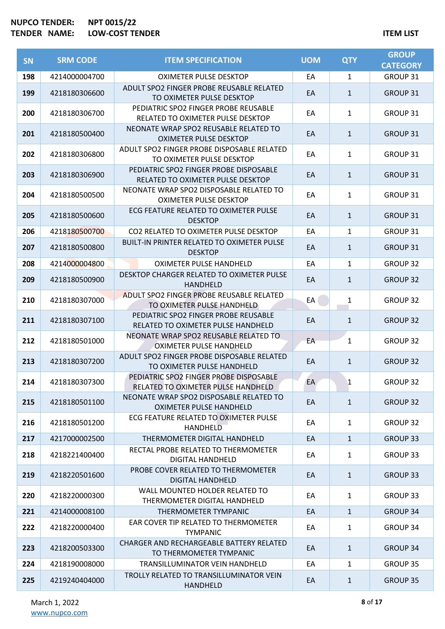| <b>SN</b> | <b>SRM CODE</b> | <b>ITEM SPECIFICATION</b>                                                    | <b>UOM</b> | <b>QTY</b>   | <b>GROUP</b><br><b>CATEGORY</b> |
|-----------|-----------------|------------------------------------------------------------------------------|------------|--------------|---------------------------------|
| 198       | 4214000004700   | <b>OXIMETER PULSE DESKTOP</b>                                                | EA         | 1            | GROUP 31                        |
| 199       | 4218180306600   | ADULT SPO2 FINGER PROBE REUSABLE RELATED<br>TO OXIMETER PULSE DESKTOP        | EA         | $\mathbf{1}$ | GROUP 31                        |
| 200       | 4218180306700   | PEDIATRIC SPO2 FINGER PROBE REUSABLE<br>RELATED TO OXIMETER PULSE DESKTOP    | EA         | $\mathbf{1}$ | GROUP 31                        |
| 201       | 4218180500400   | NEONATE WRAP SPO2 REUSABLE RELATED TO<br><b>OXIMETER PULSE DESKTOP</b>       | EA         | $\mathbf{1}$ | <b>GROUP 31</b>                 |
| 202       | 4218180306800   | ADULT SPO2 FINGER PROBE DISPOSABLE RELATED<br>TO OXIMETER PULSE DESKTOP      | EA         | $\mathbf{1}$ | GROUP 31                        |
| 203       | 4218180306900   | PEDIATRIC SPO2 FINGER PROBE DISPOSABLE<br>RELATED TO OXIMETER PULSE DESKTOP  | EA         | $\mathbf{1}$ | <b>GROUP 31</b>                 |
| 204       | 4218180500500   | NEONATE WRAP SPO2 DISPOSABLE RELATED TO<br><b>OXIMETER PULSE DESKTOP</b>     | EA         | $\mathbf{1}$ | GROUP 31                        |
| 205       | 4218180500600   | ECG FEATURE RELATED TO OXIMETER PULSE<br><b>DESKTOP</b>                      | EA         | $\mathbf{1}$ | <b>GROUP 31</b>                 |
| 206       | 4218180500700   | CO2 RELATED TO OXIMETER PULSE DESKTOP                                        | EA         | 1            | GROUP 31                        |
| 207       | 4218180500800   | <b>BUILT-IN PRINTER RELATED TO OXIMETER PULSE</b><br><b>DESKTOP</b>          | EA         | $\mathbf{1}$ | GROUP 31                        |
| 208       | 4214000004800   | OXIMETER PULSE HANDHELD                                                      | EA         | 1            | <b>GROUP 32</b>                 |
| 209       | 4218180500900   | DESKTOP CHARGER RELATED TO OXIMETER PULSE<br><b>HANDHELD</b>                 | EA         | $\mathbf{1}$ | <b>GROUP 32</b>                 |
| 210       | 4218180307000   | ADULT SPO2 FINGER PROBE REUSABLE RELATED<br>TO OXIMETER PULSE HANDHELD       | EA         | $\mathbf{1}$ | GROUP 32                        |
| 211       | 4218180307100   | PEDIATRIC SPO2 FINGER PROBE REUSABLE<br>RELATED TO OXIMETER PULSE HANDHELD   | EA         | $\mathbf{1}$ | <b>GROUP 32</b>                 |
| 212       | 4218180501000   | NEONATE WRAP SPO2 REUSABLE RELATED TO<br>OXIMETER PULSE HANDHELD             | EA         | 1            | GROUP 32                        |
| 213       | 4218180307200   | ADULT SPO2 FINGER PROBE DISPOSABLE RELATED<br>TO OXIMETER PULSE HANDHELD     | EA         | $\mathbf{1}$ | <b>GROUP 32</b>                 |
| 214       | 4218180307300   | PEDIATRIC SPO2 FINGER PROBE DISPOSABLE<br>RELATED TO OXIMETER PULSE HANDHELD | EA         | 1            | GROUP 32                        |
| 215       | 4218180501100   | NEONATE WRAP SPO2 DISPOSABLE RELATED TO<br><b>OXIMETER PULSE HANDHELD</b>    | EA         | $\mathbf{1}$ | <b>GROUP 32</b>                 |
| 216       | 4218180501200   | ECG FEATURE RELATED TO OXIMETER PULSE<br>HANDHELD                            | EA         | $\mathbf{1}$ | <b>GROUP 32</b>                 |
| 217       | 4217000002500   | THERMOMETER DIGITAL HANDHELD                                                 | EA         | $\mathbf{1}$ | <b>GROUP 33</b>                 |
| 218       | 4218221400400   | RECTAL PROBE RELATED TO THERMOMETER<br><b>DIGITAL HANDHELD</b>               | EA         | $\mathbf{1}$ | GROUP 33                        |
| 219       | 4218220501600   | PROBE COVER RELATED TO THERMOMETER<br><b>DIGITAL HANDHELD</b>                | EA         | $\mathbf{1}$ | <b>GROUP 33</b>                 |
| 220       | 4218220000300   | WALL MOUNTED HOLDER RELATED TO<br>THERMOMETER DIGITAL HANDHELD               | EA         | 1            | GROUP 33                        |
| 221       | 4214000008100   | THERMOMETER TYMPANIC                                                         | EA         | $\mathbf{1}$ | <b>GROUP 34</b>                 |
| 222       | 4218220000400   | EAR COVER TIP RELATED TO THERMOMETER<br><b>TYMPANIC</b>                      | EA         | 1            | GROUP 34                        |
| 223       | 4218200503300   | CHARGER AND RECHARGEABLE BATTERY RELATED<br>TO THERMOMETER TYMPANIC          | EA         | $\mathbf{1}$ | <b>GROUP 34</b>                 |
| 224       | 4218190008000   | TRANSILLUMINATOR VEIN HANDHELD                                               | EA         | $\mathbf{1}$ | GROUP 35                        |
| 225       | 4219240404000   | TROLLY RELATED TO TRANSILLUMINATOR VEIN<br><b>HANDHELD</b>                   | EA         | $\mathbf{1}$ | <b>GROUP 35</b>                 |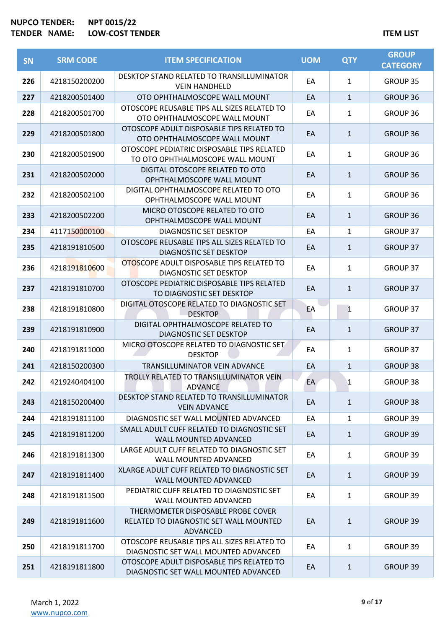| <b>SN</b> | <b>SRM CODE</b> | <b>ITEM SPECIFICATION</b>                                                                | <b>UOM</b> | <b>QTY</b>   | <b>GROUP</b><br><b>CATEGORY</b> |
|-----------|-----------------|------------------------------------------------------------------------------------------|------------|--------------|---------------------------------|
| 226       | 4218150200200   | DESKTOP STAND RELATED TO TRANSILLUMINATOR<br><b>VEIN HANDHELD</b>                        | EA         | $\mathbf{1}$ | GROUP 35                        |
| 227       | 4218200501400   | OTO OPHTHALMOSCOPE WALL MOUNT                                                            | EA         | $\mathbf{1}$ | GROUP 36                        |
| 228       | 4218200501700   | OTOSCOPE REUSABLE TIPS ALL SIZES RELATED TO<br>OTO OPHTHALMOSCOPE WALL MOUNT             | EA         | $\mathbf{1}$ | GROUP 36                        |
| 229       | 4218200501800   | OTOSCOPE ADULT DISPOSABLE TIPS RELATED TO<br>OTO OPHTHALMOSCOPE WALL MOUNT               | EA         | $\mathbf{1}$ | <b>GROUP 36</b>                 |
| 230       | 4218200501900   | OTOSCOPE PEDIATRIC DISPOSABLE TIPS RELATED<br>TO OTO OPHTHALMOSCOPE WALL MOUNT           | EA         | 1            | GROUP 36                        |
| 231       | 4218200502000   | DIGITAL OTOSCOPE RELATED TO OTO<br>OPHTHALMOSCOPE WALL MOUNT                             | EA         | $\mathbf{1}$ | <b>GROUP 36</b>                 |
| 232       | 4218200502100   | DIGITAL OPHTHALMOSCOPE RELATED TO OTO<br>OPHTHALMOSCOPE WALL MOUNT                       | EA         | $\mathbf{1}$ | GROUP 36                        |
| 233       | 4218200502200   | MICRO OTOSCOPE RELATED TO OTO<br>OPHTHALMOSCOPE WALL MOUNT                               | EA         | $\mathbf{1}$ | <b>GROUP 36</b>                 |
| 234       | 4117150000100   | DIAGNOSTIC SET DESKTOP                                                                   | EA         | $\mathbf{1}$ | GROUP 37                        |
| 235       | 4218191810500   | OTOSCOPE REUSABLE TIPS ALL SIZES RELATED TO<br><b>DIAGNOSTIC SET DESKTOP</b>             | EA         | $\mathbf{1}$ | GROUP 37                        |
| 236       | 4218191810600   | OTOSCOPE ADULT DISPOSABLE TIPS RELATED TO<br>DIAGNOSTIC SET DESKTOP                      | EA         | $\mathbf{1}$ | GROUP 37                        |
| 237       | 4218191810700   | OTOSCOPE PEDIATRIC DISPOSABLE TIPS RELATED<br>TO DIAGNOSTIC SET DESKTOP                  | EA         | $\mathbf{1}$ | <b>GROUP 37</b>                 |
| 238       | 4218191810800   | DIGITAL OTOSCOPE RELATED TO DIAGNOSTIC SET<br><b>DESKTOP</b>                             | EA         | 1            | GROUP 37                        |
| 239       | 4218191810900   | DIGITAL OPHTHALMOSCOPE RELATED TO<br>DIAGNOSTIC SET DESKTOP                              | EA         | $\mathbf{1}$ | GROUP 37                        |
| 240       | 4218191811000   | MICRO OTOSCOPE RELATED TO DIAGNOSTIC SET<br><b>DESKTOP</b>                               | EA         | $\mathbf{1}$ | <b>GROUP 37</b>                 |
| 241       | 4218150200300   | TRANSILLUMINATOR VEIN ADVANCE                                                            | EA         | $\mathbf{1}$ | <b>GROUP 38</b>                 |
| 242       | 4219240404100   | TROLLY RELATED TO TRANSILLUMINATOR VEIN<br><b>ADVANCE</b>                                | EA         | 1            | <b>GROUP 38</b>                 |
| 243       | 4218150200400   | DESKTOP STAND RELATED TO TRANSILLUMINATOR<br><b>VEIN ADVANCE</b>                         | EA         | $\mathbf{1}$ | <b>GROUP 38</b>                 |
| 244       | 4218191811100   | DIAGNOSTIC SET WALL MOUNTED ADVANCED                                                     | EA         | $\mathbf{1}$ | GROUP 39                        |
| 245       | 4218191811200   | SMALL ADULT CUFF RELATED TO DIAGNOSTIC SET<br><b>WALL MOUNTED ADVANCED</b>               | EA         | $\mathbf{1}$ | <b>GROUP 39</b>                 |
| 246       | 4218191811300   | LARGE ADULT CUFF RELATED TO DIAGNOSTIC SET<br><b>WALL MOUNTED ADVANCED</b>               | EA         | 1            | GROUP 39                        |
| 247       | 4218191811400   | XLARGE ADULT CUFF RELATED TO DIAGNOSTIC SET<br><b>WALL MOUNTED ADVANCED</b>              | EA         | $\mathbf{1}$ | <b>GROUP 39</b>                 |
| 248       | 4218191811500   | PEDIATRIC CUFF RELATED TO DIAGNOSTIC SET<br><b>WALL MOUNTED ADVANCED</b>                 | EA         | $\mathbf{1}$ | GROUP 39                        |
| 249       | 4218191811600   | THERMOMETER DISPOSABLE PROBE COVER<br>RELATED TO DIAGNOSTIC SET WALL MOUNTED<br>ADVANCED | EA         | $\mathbf{1}$ | <b>GROUP 39</b>                 |
| 250       | 4218191811700   | OTOSCOPE REUSABLE TIPS ALL SIZES RELATED TO<br>DIAGNOSTIC SET WALL MOUNTED ADVANCED      | EA         | $\mathbf{1}$ | GROUP 39                        |
| 251       | 4218191811800   | OTOSCOPE ADULT DISPOSABLE TIPS RELATED TO<br>DIAGNOSTIC SET WALL MOUNTED ADVANCED        | EA         | $\mathbf{1}$ | <b>GROUP 39</b>                 |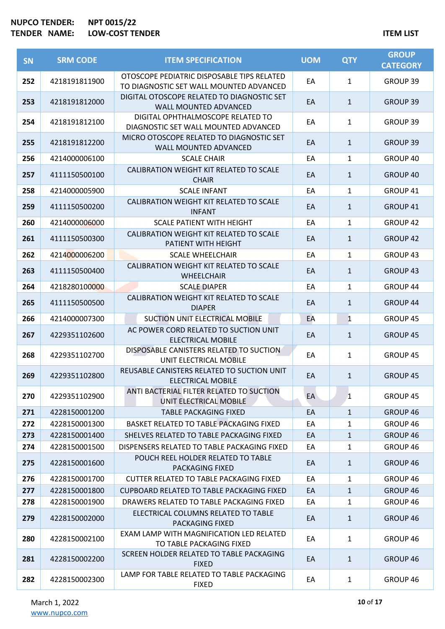| SN  | <b>SRM CODE</b> | <b>ITEM SPECIFICATION</b>                                                             | <b>UOM</b> | <b>QTY</b>   | <b>GROUP</b><br><b>CATEGORY</b> |
|-----|-----------------|---------------------------------------------------------------------------------------|------------|--------------|---------------------------------|
| 252 | 4218191811900   | OTOSCOPE PEDIATRIC DISPOSABLE TIPS RELATED<br>TO DIAGNOSTIC SET WALL MOUNTED ADVANCED | EA         | $\mathbf{1}$ | GROUP 39                        |
| 253 | 4218191812000   | DIGITAL OTOSCOPE RELATED TO DIAGNOSTIC SET<br><b>WALL MOUNTED ADVANCED</b>            | EA         | $\mathbf{1}$ | GROUP 39                        |
| 254 | 4218191812100   | DIGITAL OPHTHALMOSCOPE RELATED TO<br>DIAGNOSTIC SET WALL MOUNTED ADVANCED             | EA         | 1            | GROUP 39                        |
| 255 | 4218191812200   | MICRO OTOSCOPE RELATED TO DIAGNOSTIC SET<br>WALL MOUNTED ADVANCED                     | EA         | $\mathbf{1}$ | GROUP 39                        |
| 256 | 4214000006100   | <b>SCALE CHAIR</b>                                                                    | EA         | $\mathbf{1}$ | GROUP 40                        |
| 257 | 4111150500100   | CALIBRATION WEIGHT KIT RELATED TO SCALE<br><b>CHAIR</b>                               | EA         | $\mathbf{1}$ | GROUP 40                        |
| 258 | 4214000005900   | <b>SCALE INFANT</b>                                                                   | EA         | $\mathbf{1}$ | GROUP 41                        |
| 259 | 4111150500200   | CALIBRATION WEIGHT KIT RELATED TO SCALE<br><b>INFANT</b>                              | EA         | $\mathbf{1}$ | GROUP 41                        |
| 260 | 4214000006000   | <b>SCALE PATIENT WITH HEIGHT</b>                                                      | EA         | $\mathbf{1}$ | <b>GROUP 42</b>                 |
| 261 | 4111150500300   | CALIBRATION WEIGHT KIT RELATED TO SCALE<br>PATIENT WITH HEIGHT                        | EA         | $\mathbf{1}$ | <b>GROUP 42</b>                 |
| 262 | 4214000006200   | <b>SCALE WHEELCHAIR</b>                                                               | EA         | $\mathbf{1}$ | GROUP 43                        |
| 263 | 4111150500400   | CALIBRATION WEIGHT KIT RELATED TO SCALE<br><b>WHEELCHAIR</b>                          | EA         | $\mathbf{1}$ | GROUP 43                        |
| 264 | 4218280100000   | <b>SCALE DIAPER</b>                                                                   | EA         | $\mathbf{1}$ | GROUP 44                        |
| 265 | 4111150500500   | CALIBRATION WEIGHT KIT RELATED TO SCALE<br><b>DIAPER</b>                              | EA         | $\mathbf{1}$ | GROUP 44                        |
| 266 | 4214000007300   | SUCTION UNIT ELECTRICAL MOBILE                                                        | EA         | $\mathbf{1}$ | GROUP 45                        |
| 267 | 4229351102600   | AC POWER CORD RELATED TO SUCTION UNIT<br><b>ELECTRICAL MOBILE</b>                     | EA         | $\mathbf{1}$ | GROUP 45                        |
| 268 | 4229351102700   | DISPOSABLE CANISTERS RELATED TO SUCTION<br>UNIT ELECTRICAL MOBILE                     | EA         | 1            | GROUP 45                        |
| 269 | 4229351102800   | REUSABLE CANISTERS RELATED TO SUCTION UNIT<br><b>ELECTRICAL MOBILE</b>                | EA         | $\mathbf{1}$ | GROUP 45                        |
| 270 | 4229351102900   | ANTI BACTERIAL FILTER RELATED TO SUCTION<br>UNIT ELECTRICAL MOBILE                    | EA         | 1            | GROUP 45                        |
| 271 | 4228150001200   | <b>TABLE PACKAGING FIXED</b>                                                          | EA         | $\mathbf{1}$ | GROUP 46                        |
| 272 | 4228150001300   | BASKET RELATED TO TABLE PACKAGING FIXED                                               | EA         | 1            | GROUP 46                        |
| 273 | 4228150001400   | SHELVES RELATED TO TABLE PACKAGING FIXED                                              | EA         | $\mathbf{1}$ | GROUP 46                        |
| 274 | 4228150001500   | DISPENSERS RELATED TO TABLE PACKAGING FIXED                                           | EA         | 1            | GROUP 46                        |
| 275 | 4228150001600   | POUCH REEL HOLDER RELATED TO TABLE<br>PACKAGING FIXED                                 | EA         | $\mathbf{1}$ | GROUP 46                        |
| 276 | 4228150001700   | CUTTER RELATED TO TABLE PACKAGING FIXED                                               | EA         | 1            | GROUP 46                        |
| 277 | 4228150001800   | <b>CUPBOARD RELATED TO TABLE PACKAGING FIXED</b>                                      | EA         | $\mathbf{1}$ | GROUP 46                        |
| 278 | 4228150001900   | DRAWERS RELATED TO TABLE PACKAGING FIXED                                              | EA         | 1            | GROUP 46                        |
| 279 | 4228150002000   | ELECTRICAL COLUMNS RELATED TO TABLE<br>PACKAGING FIXED                                | EA         | $\mathbf{1}$ | GROUP 46                        |
| 280 | 4228150002100   | EXAM LAMP WITH MAGNIFICATION LED RELATED<br>TO TABLE PACKAGING FIXED                  | EA         | $\mathbf{1}$ | GROUP 46                        |
| 281 | 4228150002200   | SCREEN HOLDER RELATED TO TABLE PACKAGING<br><b>FIXED</b>                              | EA         | $\mathbf{1}$ | GROUP 46                        |
| 282 | 4228150002300   | LAMP FOR TABLE RELATED TO TABLE PACKAGING<br><b>FIXED</b>                             | EA         | $\mathbf{1}$ | GROUP 46                        |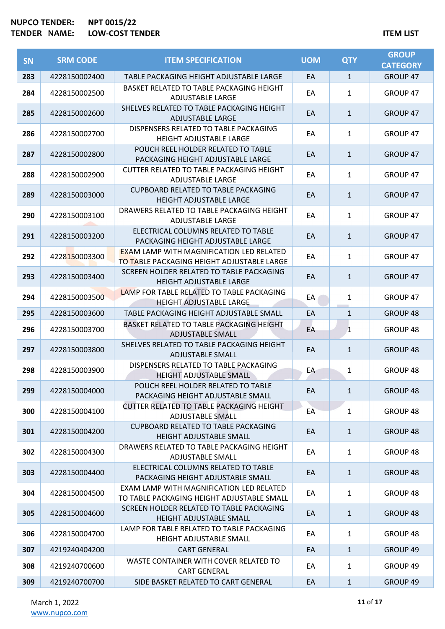| <b>SN</b> | <b>SRM CODE</b> | <b>ITEM SPECIFICATION</b>                                                                     | <b>UOM</b> | <b>QTY</b>   | <b>GROUP</b><br><b>CATEGORY</b> |
|-----------|-----------------|-----------------------------------------------------------------------------------------------|------------|--------------|---------------------------------|
| 283       | 4228150002400   | TABLE PACKAGING HEIGHT ADJUSTABLE LARGE                                                       | EA         | $\mathbf{1}$ | <b>GROUP 47</b>                 |
| 284       | 4228150002500   | BASKET RELATED TO TABLE PACKAGING HEIGHT<br><b>ADJUSTABLE LARGE</b>                           | EA         | $\mathbf{1}$ | GROUP 47                        |
| 285       | 4228150002600   | SHELVES RELATED TO TABLE PACKAGING HEIGHT<br><b>ADJUSTABLE LARGE</b>                          | EA         | $\mathbf{1}$ | GROUP 47                        |
| 286       | 4228150002700   | DISPENSERS RELATED TO TABLE PACKAGING<br>HEIGHT ADJUSTABLE LARGE                              | EA         | $\mathbf{1}$ | GROUP 47                        |
| 287       | 4228150002800   | POUCH REEL HOLDER RELATED TO TABLE<br>PACKAGING HEIGHT ADJUSTABLE LARGE                       | EA         | $\mathbf{1}$ | GROUP 47                        |
| 288       | 4228150002900   | CUTTER RELATED TO TABLE PACKAGING HEIGHT<br><b>ADJUSTABLE LARGE</b>                           | EA         | $\mathbf{1}$ | GROUP 47                        |
| 289       | 4228150003000   | <b>CUPBOARD RELATED TO TABLE PACKAGING</b><br><b>HEIGHT ADJUSTABLE LARGE</b>                  | EA         | $\mathbf{1}$ | GROUP 47                        |
| 290       | 4228150003100   | DRAWERS RELATED TO TABLE PACKAGING HEIGHT<br><b>ADJUSTABLE LARGE</b>                          | EA         | $\mathbf{1}$ | GROUP 47                        |
| 291       | 4228150003200   | ELECTRICAL COLUMNS RELATED TO TABLE<br>PACKAGING HEIGHT ADJUSTABLE LARGE                      | EA         | $\mathbf{1}$ | GROUP 47                        |
| 292       | 4228150003300   | <b>EXAM LAMP WITH MAGNIFICATION LED RELATED</b><br>TO TABLE PACKAGING HEIGHT ADJUSTABLE LARGE | EA         | $\mathbf{1}$ | GROUP 47                        |
| 293       | 4228150003400   | SCREEN HOLDER RELATED TO TABLE PACKAGING<br><b>HEIGHT ADJUSTABLE LARGE</b>                    | EA         | $\mathbf{1}$ | GROUP 47                        |
| 294       | 4228150003500   | LAMP FOR TABLE RELATED TO TABLE PACKAGING<br><b>HEIGHT ADJUSTABLE LARGE</b>                   | EA         | 1            | GROUP 47                        |
| 295       | 4228150003600   | TABLE PACKAGING HEIGHT ADJUSTABLE SMALL                                                       | EA         | $\mathbf{1}$ | GROUP 48                        |
| 296       | 4228150003700   | BASKET RELATED TO TABLE PACKAGING HEIGHT<br><b>ADJUSTABLE SMALL</b>                           | EA         | 1            | GROUP 48                        |
| 297       | 4228150003800   | SHELVES RELATED TO TABLE PACKAGING HEIGHT<br><b>ADJUSTABLE SMALL</b>                          | EA         | $\mathbf{1}$ | <b>GROUP 48</b>                 |
| 298       | 4228150003900   | DISPENSERS RELATED TO TABLE PACKAGING<br><b>HEIGHT ADJUSTABLE SMALL</b>                       | EA         | $\mathbf{1}$ | GROUP 48                        |
| 299       | 4228150004000   | POUCH REEL HOLDER RELATED TO TABLE<br>PACKAGING HEIGHT ADJUSTABLE SMALL                       | EA         | $\mathbf{1}$ | GROUP 48                        |
| 300       | 4228150004100   | <b>CUTTER RELATED TO TABLE PACKAGING HEIGHT</b><br><b>ADJUSTABLE SMALL</b>                    | EA         | 1            | GROUP 48                        |
| 301       | 4228150004200   | <b>CUPBOARD RELATED TO TABLE PACKAGING</b><br><b>HEIGHT ADJUSTABLE SMALL</b>                  | EA         | $\mathbf{1}$ | <b>GROUP 48</b>                 |
| 302       | 4228150004300   | DRAWERS RELATED TO TABLE PACKAGING HEIGHT<br><b>ADJUSTABLE SMALL</b>                          | EA         | 1            | GROUP 48                        |
| 303       | 4228150004400   | ELECTRICAL COLUMNS RELATED TO TABLE<br>PACKAGING HEIGHT ADJUSTABLE SMALL                      | EA         | $\mathbf{1}$ | GROUP 48                        |
| 304       | 4228150004500   | EXAM LAMP WITH MAGNIFICATION LED RELATED<br>TO TABLE PACKAGING HEIGHT ADJUSTABLE SMALL        | EA         | $\mathbf{1}$ | GROUP 48                        |
| 305       | 4228150004600   | SCREEN HOLDER RELATED TO TABLE PACKAGING<br><b>HEIGHT ADJUSTABLE SMALL</b>                    | EA         | $\mathbf{1}$ | GROUP 48                        |
| 306       | 4228150004700   | LAMP FOR TABLE RELATED TO TABLE PACKAGING<br>HEIGHT ADJUSTABLE SMALL                          | EA         | $\mathbf{1}$ | GROUP 48                        |
| 307       | 4219240404200   | <b>CART GENERAL</b>                                                                           | EA         | $\mathbf{1}$ | GROUP 49                        |
| 308       | 4219240700600   | WASTE CONTAINER WITH COVER RELATED TO<br><b>CART GENERAL</b>                                  | EA         | 1            | GROUP 49                        |
| 309       | 4219240700700   | SIDE BASKET RELATED TO CART GENERAL                                                           | EA         | $\mathbf{1}$ | GROUP 49                        |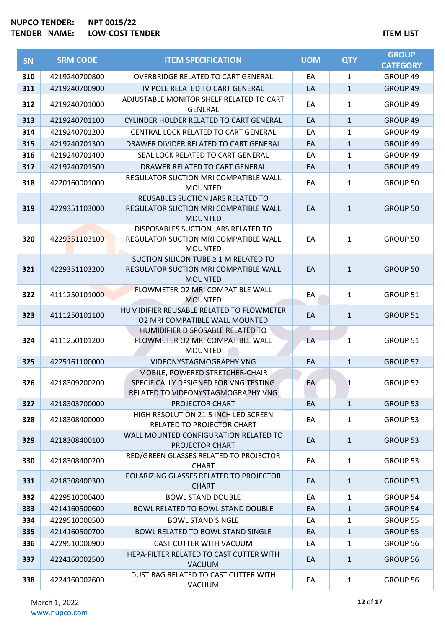| <b>SN</b> | <b>SRM CODE</b> | <b>ITEM SPECIFICATION</b>                                                                                      | <b>UOM</b> | <b>QTY</b>   | <b>GROUP</b>    |
|-----------|-----------------|----------------------------------------------------------------------------------------------------------------|------------|--------------|-----------------|
|           |                 |                                                                                                                |            |              | <b>CATEGORY</b> |
| 310       | 4219240700800   | <b>OVERBRIDGE RELATED TO CART GENERAL</b>                                                                      | EA         | 1            | GROUP 49        |
| 311       | 4219240700900   | IV POLE RELATED TO CART GENERAL                                                                                | EA         | $\mathbf{1}$ | GROUP 49        |
| 312       | 4219240701000   | ADJUSTABLE MONITOR SHELF RELATED TO CART<br><b>GENERAL</b>                                                     | EA         | $\mathbf{1}$ | GROUP 49        |
| 313       | 4219240701100   | CYLINDER HOLDER RELATED TO CART GENERAL                                                                        | EA         | $\mathbf{1}$ | GROUP 49        |
| 314       | 4219240701200   | CENTRAL LOCK RELATED TO CART GENERAL                                                                           | EA         | 1            | GROUP 49        |
| 315       | 4219240701300   | DRAWER DIVIDER RELATED TO CART GENERAL                                                                         | EA         | 1            | GROUP 49        |
| 316       | 4219240701400   | SEAL LOCK RELATED TO CART GENERAL                                                                              | EA         | 1            | GROUP 49        |
| 317       | 4219240701500   | DRAWER RELATED TO CART GENERAL                                                                                 | EA         | $\mathbf{1}$ | GROUP 49        |
| 318       | 4220160001000   | REGULATOR SUCTION MRI COMPATIBLE WALL<br><b>MOUNTED</b>                                                        | EA         | $\mathbf{1}$ | GROUP 50        |
| 319       | 4229351103000   | REUSABLES SUCTION JARS RELATED TO<br>REGULATOR SUCTION MRI COMPATIBLE WALL<br><b>MOUNTED</b>                   | EA         | $\mathbf{1}$ | <b>GROUP 50</b> |
| 320       | 4229351103100   | DISPOSABLES SUCTION JARS RELATED TO<br>REGULATOR SUCTION MRI COMPATIBLE WALL<br><b>MOUNTED</b>                 | EA         | $\mathbf{1}$ | GROUP 50        |
| 321       | 4229351103200   | SUCTION SILICON TUBE ≥ 1 M RELATED TO<br>REGULATOR SUCTION MRI COMPATIBLE WALL<br><b>MOUNTED</b>               | EA         | $\mathbf{1}$ | <b>GROUP 50</b> |
| 322       | 4111250101000   | FLOWMETER O2 MRI COMPATIBLE WALL<br><b>MOUNTED</b>                                                             | EA         | $\mathbf{1}$ | GROUP 51        |
| 323       | 4111250101100   | HUMIDIFIER REUSABLE RELATED TO FLOWMETER<br>02 MRI COMPATIBLE WALL MOUNTED                                     | EA         | $\mathbf{1}$ | GROUP 51        |
| 324       | 4111250101200   | HUMIDIFIER DISPOSABLE RELATED TO<br>FLOWMETER O2 MRI COMPATIBLE WALL<br><b>MOUNTED</b>                         | EA         | 1            | GROUP 51        |
| 325       | 4225161100000   | VIDEONYSTAGMOGRAPHY VNG                                                                                        | EA         | $\mathbf{1}$ | <b>GROUP 52</b> |
| 326       | 4218309200200   | MOBILE, POWERED STRETCHER-CHAIR<br>SPECIFICALLY DESIGNED FOR VNG TESTING<br>RELATED TO VIDEONYSTAGMOGRAPHY VNG | EA         | 1            | <b>GROUP 52</b> |
| 327       | 4218303700000   | PROJECTOR CHART                                                                                                | EA         | $\mathbf{1}$ | <b>GROUP 53</b> |
| 328       | 4218308400000   | HIGH RESOLUTION 21.5 INCH LED SCREEN<br>RELATED TO PROJECTOR CHART                                             | EA         | $\mathbf{1}$ | <b>GROUP 53</b> |
| 329       | 4218308400100   | WALL MOUNTED CONFIGURATION RELATED TO<br>PROJECTOR CHART                                                       | EA         | $\mathbf{1}$ | <b>GROUP 53</b> |
| 330       | 4218308400200   | RED/GREEN GLASSES RELATED TO PROJECTOR<br><b>CHART</b>                                                         | EA         | $\mathbf{1}$ | <b>GROUP 53</b> |
| 331       | 4218308400300   | POLARIZING GLASSES RELATED TO PROJECTOR<br><b>CHART</b>                                                        | EA         | $\mathbf{1}$ | GROUP 53        |
| 332       | 4229510000400   | <b>BOWL STAND DOUBLE</b>                                                                                       | EA         | $\mathbf{1}$ | GROUP 54        |
| 333       | 4214160500600   | BOWL RELATED TO BOWL STAND DOUBLE                                                                              | EA         | $\mathbf{1}$ | <b>GROUP 54</b> |
| 334       | 4229510000500   | <b>BOWL STAND SINGLE</b>                                                                                       | EA         | 1            | GROUP 55        |
| 335       | 4214160500700   | <b>BOWL RELATED TO BOWL STAND SINGLE</b>                                                                       | EA         | $\mathbf{1}$ | GROUP 55        |
| 336       | 4229510000900   | CAST CUTTER WITH VACUUM                                                                                        | EA         | 1            | GROUP 56        |
| 337       | 4224160002500   | HEPA-FILTER RELATED TO CAST CUTTER WITH<br>VACUUM                                                              | EA         | $\mathbf{1}$ | GROUP 56        |
| 338       | 4224160002600   | DUST BAG RELATED TO CAST CUTTER WITH<br>VACUUM                                                                 | EA         | 1            | GROUP 56        |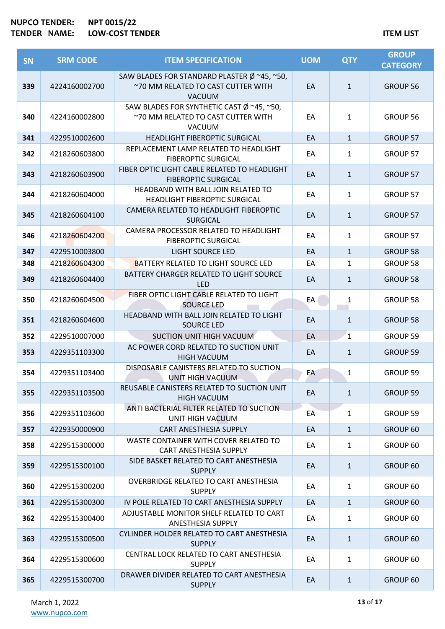| <b>SN</b> | <b>SRM CODE</b> | <b>ITEM SPECIFICATION</b>                                                                             | <b>UOM</b> | <b>QTY</b>   | <b>GROUP</b><br><b>CATEGORY</b> |
|-----------|-----------------|-------------------------------------------------------------------------------------------------------|------------|--------------|---------------------------------|
| 339       | 4224160002700   | SAW BLADES FOR STANDARD PLASTER $\emptyset$ ~45, ~50,<br>~70 MM RELATED TO CAST CUTTER WITH<br>VACUUM | EA         | $\mathbf{1}$ | GROUP 56                        |
| 340       | 4224160002800   | SAW BLADES FOR SYNTHETIC CAST Ø ~45, ~50,<br>~70 MM RELATED TO CAST CUTTER WITH<br>VACUUM             | EA         | 1            | <b>GROUP 56</b>                 |
| 341       | 4229510002600   | <b>HEADLIGHT FIBEROPTIC SURGICAL</b>                                                                  | EA         | $\mathbf{1}$ | GROUP 57                        |
| 342       | 4218260603800   | REPLACEMENT LAMP RELATED TO HEADLIGHT<br><b>FIBEROPTIC SURGICAL</b>                                   | EA         | 1            | GROUP 57                        |
| 343       | 4218260603900   | FIBER OPTIC LIGHT CABLE RELATED TO HEADLIGHT<br><b>FIBEROPTIC SURGICAL</b>                            | EA         | $\mathbf{1}$ | GROUP 57                        |
| 344       | 4218260604000   | HEADBAND WITH BALL JOIN RELATED TO<br>HEADLIGHT FIBEROPTIC SURGICAL                                   | EA         | 1            | <b>GROUP 57</b>                 |
| 345       | 4218260604100   | CAMERA RELATED TO HEADLIGHT FIBEROPTIC<br><b>SURGICAL</b>                                             | EA         | $\mathbf{1}$ | <b>GROUP 57</b>                 |
| 346       | 4218260604200   | CAMERA PROCESSOR RELATED TO HEADLIGHT<br><b>FIBEROPTIC SURGICAL</b>                                   | EA         | $\mathbf{1}$ | <b>GROUP 57</b>                 |
| 347       | 4229510003800   | <b>LIGHT SOURCE LED</b>                                                                               | EA         | $\mathbf{1}$ | <b>GROUP 58</b>                 |
| 348       | 4218260604300   | <b>BATTERY RELATED TO LIGHT SOURCE LED</b>                                                            | EA         | 1            | <b>GROUP 58</b>                 |
| 349       | 4218260604400   | BATTERY CHARGER RELATED TO LIGHT SOURCE<br><b>LED</b>                                                 | EA         | $\mathbf{1}$ | <b>GROUP 58</b>                 |
| 350       | 4218260604500   | FIBER OPTIC LIGHT CABLE RELATED TO LIGHT<br><b>SOURCE LED</b>                                         | EA         | 1            | <b>GROUP 58</b>                 |
| 351       | 4218260604600   | HEADBAND WITH BALL JOIN RELATED TO LIGHT<br><b>SOURCE LED</b>                                         | EA         | $\mathbf{1}$ | <b>GROUP 58</b>                 |
| 352       | 4229510007000   | SUCTION UNIT HIGH VACUUM                                                                              | EA         | $\mathbf{1}$ | GROUP 59                        |
| 353       | 4229351103300   | AC POWER CORD RELATED TO SUCTION UNIT<br><b>HIGH VACUUM</b>                                           | EA         | $\mathbf{1}$ | <b>GROUP 59</b>                 |
| 354       | 4229351103400   | DISPOSABLE CANISTERS RELATED TO SUCTION<br>UNIT HIGH VACUUM                                           | EA         | $\mathbf{1}$ | <b>GROUP 59</b>                 |
| 355       | 4229351103500   | REUSABLE CANISTERS RELATED TO SUCTION UNIT<br><b>HIGH VACUUM</b>                                      | EA         | $\mathbf{1}$ | <b>GROUP 59</b>                 |
| 356       | 4229351103600   | ANTI BACTERIAL FILTER RELATED TO SUCTION<br>UNIT HIGH VACUUM                                          | EA         | 1            | <b>GROUP 59</b>                 |
| 357       | 4229350000900   | CART ANESTHESIA SUPPLY                                                                                | EA         | $\mathbf{1}$ | GROUP 60                        |
| 358       | 4229515300000   | WASTE CONTAINER WITH COVER RELATED TO<br><b>CART ANESTHESIA SUPPLY</b>                                | EA         | 1            | GROUP 60                        |
| 359       | 4229515300100   | SIDE BASKET RELATED TO CART ANESTHESIA<br><b>SUPPLY</b>                                               | EA         | $\mathbf{1}$ | GROUP 60                        |
| 360       | 4229515300200   | OVERBRIDGE RELATED TO CART ANESTHESIA<br><b>SUPPLY</b>                                                | EA         | 1            | GROUP 60                        |
| 361       | 4229515300300   | IV POLE RELATED TO CART ANESTHESIA SUPPLY                                                             | EA         | $\mathbf{1}$ | GROUP 60                        |
| 362       | 4229515300400   | ADJUSTABLE MONITOR SHELF RELATED TO CART<br><b>ANESTHESIA SUPPLY</b>                                  | EA         | 1            | GROUP 60                        |
| 363       | 4229515300500   | CYLINDER HOLDER RELATED TO CART ANESTHESIA<br><b>SUPPLY</b>                                           | EA         | $\mathbf{1}$ | GROUP 60                        |
| 364       | 4229515300600   | CENTRAL LOCK RELATED TO CART ANESTHESIA<br><b>SUPPLY</b>                                              | EA         | 1            | GROUP 60                        |
| 365       | 4229515300700   | DRAWER DIVIDER RELATED TO CART ANESTHESIA<br><b>SUPPLY</b>                                            | EA         | $\mathbf{1}$ | GROUP 60                        |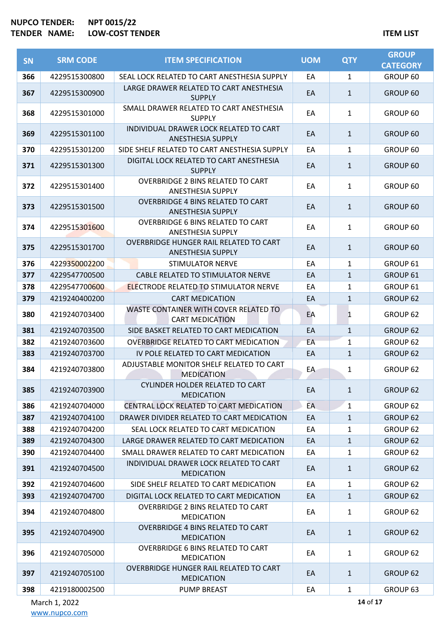| <b>SN</b>  | <b>SRM CODE</b>                | <b>ITEM SPECIFICATION</b>                                                         | <b>UOM</b> | <b>QTY</b>        | <b>GROUP</b><br><b>CATEGORY</b> |
|------------|--------------------------------|-----------------------------------------------------------------------------------|------------|-------------------|---------------------------------|
| 366        | 4229515300800                  | SEAL LOCK RELATED TO CART ANESTHESIA SUPPLY                                       | EA         | $\mathbf{1}$      | GROUP 60                        |
| 367        | 4229515300900                  | LARGE DRAWER RELATED TO CART ANESTHESIA<br><b>SUPPLY</b>                          | EA         | $\mathbf{1}$      | GROUP 60                        |
| 368        | 4229515301000                  | SMALL DRAWER RELATED TO CART ANESTHESIA<br><b>SUPPLY</b>                          | EA         | $\mathbf{1}$      | GROUP 60                        |
| 369        | 4229515301100                  | INDIVIDUAL DRAWER LOCK RELATED TO CART<br><b>ANESTHESIA SUPPLY</b>                | EA         | $\mathbf{1}$      | GROUP 60                        |
| 370        | 4229515301200                  | SIDE SHELF RELATED TO CART ANESTHESIA SUPPLY                                      | EA         | $\mathbf{1}$      | GROUP 60                        |
| 371        | 4229515301300                  | DIGITAL LOCK RELATED TO CART ANESTHESIA<br><b>SUPPLY</b>                          | EA         | $\mathbf{1}$      | GROUP 60                        |
| 372        | 4229515301400                  | <b>OVERBRIDGE 2 BINS RELATED TO CART</b><br><b>ANESTHESIA SUPPLY</b>              | EA         | $\mathbf{1}$      | GROUP 60                        |
| 373        | 4229515301500                  | <b>OVERBRIDGE 4 BINS RELATED TO CART</b><br><b>ANESTHESIA SUPPLY</b>              | EA         | $\mathbf{1}$      | GROUP 60                        |
| 374        | 4229515301600                  | <b>OVERBRIDGE 6 BINS RELATED TO CART</b><br><b>ANESTHESIA SUPPLY</b>              | EA         | $\mathbf{1}$      | GROUP 60                        |
| 375        | 4229515301700                  | OVERBRIDGE HUNGER RAIL RELATED TO CART<br><b>ANESTHESIA SUPPLY</b>                | EA         | $\mathbf{1}$      | GROUP 60                        |
| 376        | 4229350002200                  | <b>STIMULATOR NERVE</b>                                                           | EA         | $\mathbf{1}$      | GROUP 61                        |
| 377        | 4229547700500                  | CABLE RELATED TO STIMULATOR NERVE                                                 | EA         | $\mathbf{1}$      | GROUP 61                        |
| 378        | 4229547700600                  | <b>ELECTRODE RELATED TO STIMULATOR NERVE</b>                                      | EA         | $\mathbf{1}$      | GROUP 61                        |
| 379        | 4219240400200                  | <b>CART MEDICATION</b>                                                            | EA         | $\mathbf{1}$      | GROUP 62                        |
| 380        | 4219240703400                  | WASTE CONTAINER WITH COVER RELATED TO<br><b>CART MEDICATION</b>                   | EA         | 1                 | GROUP 62                        |
| 381        | 4219240703500                  | SIDE BASKET RELATED TO CART MEDICATION                                            | EA         | $\mathbf{1}$      | GROUP 62                        |
| 382        | 4219240703600                  | OVERBRIDGE RELATED TO CART MEDICATION                                             | EA         | $\mathbf{1}$      | GROUP 62                        |
| 383        | 4219240703700                  | IV POLE RELATED TO CART MEDICATION                                                | EA         | $\mathbf{1}$      | GROUP 62                        |
| 384        | 4219240703800                  | ADJUSTABLE MONITOR SHELF RELATED TO CART<br><b>MEDICATION</b>                     | EA         | $\mathbf{1}$      | GROUP 62                        |
| 385        | 4219240703900                  | CYLINDER HOLDER RELATED TO CART<br><b>MEDICATION</b>                              | EA         | $\mathbf{1}$      | GROUP 62                        |
| 386        | 4219240704000                  | CENTRAL LOCK RELATED TO CART MEDICATION                                           | <b>EA</b>  | $\mathbf{1}$      | GROUP 62                        |
| 387        | 4219240704100                  | DRAWER DIVIDER RELATED TO CART MEDICATION                                         | EA         | $\mathbf{1}$      | GROUP 62                        |
| 388        | 4219240704200                  | SEAL LOCK RELATED TO CART MEDICATION                                              | EA         | 1                 | GROUP 62                        |
| 389        | 4219240704300                  | LARGE DRAWER RELATED TO CART MEDICATION                                           | EA         | $\mathbf{1}$      | GROUP 62                        |
| 390<br>391 | 4219240704400<br>4219240704500 | SMALL DRAWER RELATED TO CART MEDICATION<br>INDIVIDUAL DRAWER LOCK RELATED TO CART | EA<br>EA   | 1<br>$\mathbf{1}$ | GROUP 62<br>GROUP 62            |
| 392        | 4219240704600                  | <b>MEDICATION</b><br>SIDE SHELF RELATED TO CART MEDICATION                        | EA         | $\mathbf{1}$      | GROUP 62                        |
| 393        | 4219240704700                  | DIGITAL LOCK RELATED TO CART MEDICATION                                           | EA         | $\mathbf{1}$      | GROUP 62                        |
|            |                                | <b>OVERBRIDGE 2 BINS RELATED TO CART</b>                                          |            |                   |                                 |
| 394        | 4219240704800                  | <b>MEDICATION</b>                                                                 | EA         | $\mathbf{1}$      | GROUP 62                        |
| 395        | 4219240704900                  | <b>OVERBRIDGE 4 BINS RELATED TO CART</b><br><b>MEDICATION</b>                     | EA         | $\mathbf{1}$      | GROUP 62                        |
| 396        | 4219240705000                  | <b>OVERBRIDGE 6 BINS RELATED TO CART</b><br><b>MEDICATION</b>                     | EA         | $\mathbf{1}$      | GROUP 62                        |
| 397        | 4219240705100                  | OVERBRIDGE HUNGER RAIL RELATED TO CART<br><b>MEDICATION</b>                       | EA         | $\mathbf{1}$      | GROUP 62                        |
| 398        | 4219180002500                  | <b>PUMP BREAST</b>                                                                | EA         | $\mathbf{1}$      | GROUP 63                        |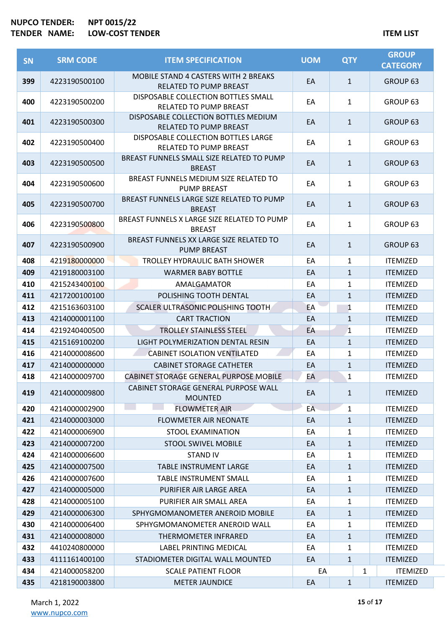| <b>SN</b> | <b>SRM CODE</b> | <b>ITEM SPECIFICATION</b>                                             | <b>UOM</b> | <b>QTY</b>   | <b>GROUP</b><br><b>CATEGORY</b> |
|-----------|-----------------|-----------------------------------------------------------------------|------------|--------------|---------------------------------|
| 399       | 4223190500100   | <b>MOBILE STAND 4 CASTERS WITH 2 BREAKS</b><br>RELATED TO PUMP BREAST | EA         | $\mathbf{1}$ | GROUP <sub>63</sub>             |
| 400       | 4223190500200   | DISPOSABLE COLLECTION BOTTLES SMALL<br><b>RELATED TO PUMP BREAST</b>  | EA         | $\mathbf{1}$ | GROUP 63                        |
| 401       | 4223190500300   | DISPOSABLE COLLECTION BOTTLES MEDIUM<br>RELATED TO PUMP BREAST        | EA         | $\mathbf{1}$ | GROUP 63                        |
| 402       | 4223190500400   | DISPOSABLE COLLECTION BOTTLES LARGE<br><b>RELATED TO PUMP BREAST</b>  | EA         | 1            | GROUP <sub>63</sub>             |
| 403       | 4223190500500   | BREAST FUNNELS SMALL SIZE RELATED TO PUMP<br><b>BREAST</b>            | EA         | $\mathbf{1}$ | GROUP <sub>63</sub>             |
| 404       | 4223190500600   | BREAST FUNNELS MEDIUM SIZE RELATED TO<br><b>PUMP BREAST</b>           | EA         | $\mathbf{1}$ | GROUP <sub>63</sub>             |
| 405       | 4223190500700   | BREAST FUNNELS LARGE SIZE RELATED TO PUMP<br><b>BREAST</b>            | EA         | $\mathbf{1}$ | GROUP <sub>63</sub>             |
| 406       | 4223190500800   | BREAST FUNNELS X LARGE SIZE RELATED TO PUMP<br><b>BREAST</b>          | EA         | 1            | GROUP <sub>63</sub>             |
| 407       | 4223190500900   | BREAST FUNNELS XX LARGE SIZE RELATED TO<br><b>PUMP BREAST</b>         | EA         | $\mathbf{1}$ | GROUP <sub>63</sub>             |
| 408       | 4219180000000   | <b>TROLLEY HYDRAULIC BATH SHOWER</b>                                  | EA         | $\mathbf{1}$ | <b>ITEMIZED</b>                 |
| 409       | 4219180003100   | <b>WARMER BABY BOTTLE</b>                                             | EA         | $\mathbf{1}$ | <b>ITEMIZED</b>                 |
| 410       | 4215243400100   | AMALGAMATOR                                                           | EA         | $\mathbf{1}$ | <b>ITEMIZED</b>                 |
| 411       | 4217200100100   | POLISHING TOOTH DENTAL                                                | EA         | $\mathbf{1}$ | <b>ITEMIZED</b>                 |
| 412       | 4215163603100   | SCALER ULTRASONIC POLISHING TOOTH                                     | EA         | 1            | <b>ITEMIZED</b>                 |
| 413       | 4214000001100   | <b>CART TRACTION</b>                                                  | EA         | $\mathbf{1}$ | <b>ITEMIZED</b>                 |
| 414       | 4219240400500   | <b>TROLLEY STAINLESS STEEL</b>                                        | EA         | $\mathbf{1}$ | <b>ITEMIZED</b>                 |
| 415       | 4215169100200   | LIGHT POLYMERIZATION DENTAL RESIN                                     | EA         | $\mathbf{1}$ | <b>ITEMIZED</b>                 |
| 416       | 4214000008600   | <b>CABINET ISOLATION VENTILATED</b>                                   | EA         | $\mathbf{1}$ | <b>ITEMIZED</b>                 |
| 417       | 4214000000000   | <b>CABINET STORAGE CATHETER</b>                                       | EA         | $\mathbf{1}$ | <b>ITEMIZED</b>                 |
| 418       | 4214000009700   | CABINET STORAGE GENERAL PURPOSE MOBILE                                | EA         | 1            | <b>ITEMIZED</b>                 |
| 419       | 4214000009800   | CABINET STORAGE GENERAL PURPOSE WALL<br><b>MOUNTED</b>                | EA         | $\mathbf{1}$ | <b>ITEMIZED</b>                 |
| 420       | 4214000002900   | <b>FLOWMETER AIR</b>                                                  | EA         | 1            | <b>ITEMIZED</b>                 |
| 421       | 4214000003000   | <b>FLOWMETER AIR NEONATE</b>                                          | EA         | $\mathbf{1}$ | <b>ITEMIZED</b>                 |
| 422       | 4214000006900   | <b>STOOL EXAMINATION</b>                                              | EA         | 1            | <b>ITEMIZED</b>                 |
| 423       | 4214000007200   | <b>STOOL SWIVEL MOBILE</b>                                            | EA         | $\mathbf{1}$ | <b>ITEMIZED</b>                 |
| 424       | 4214000006600   | <b>STAND IV</b>                                                       | EA         | 1            | <b>ITEMIZED</b>                 |
| 425       | 4214000007500   | <b>TABLE INSTRUMENT LARGE</b>                                         | EA         | $\mathbf{1}$ | <b>ITEMIZED</b>                 |
| 426       | 4214000007600   | <b>TABLE INSTRUMENT SMALL</b>                                         | EA         | 1            | <b>ITEMIZED</b>                 |
| 427       | 4214000005000   | PURIFIER AIR LARGE AREA                                               | EA         | $\mathbf{1}$ | <b>ITEMIZED</b>                 |
| 428       | 4214000005100   | PURIFIER AIR SMALL AREA                                               | EA         | $\mathbf{1}$ | <b>ITEMIZED</b>                 |
| 429       | 4214000006300   | SPHYGMOMANOMETER ANEROID MOBILE                                       | EA         | $\mathbf{1}$ | <b>ITEMIZED</b>                 |
| 430       | 4214000006400   | SPHYGMOMANOMETER ANEROID WALL                                         | EA         | 1            | <b>ITEMIZED</b>                 |
| 431       | 4214000008000   | THERMOMETER INFRARED                                                  | EA         | $\mathbf{1}$ | <b>ITEMIZED</b>                 |
| 432       | 4410240800000   | LABEL PRINTING MEDICAL                                                | EA         | $\mathbf{1}$ | <b>ITEMIZED</b>                 |
| 433       | 4111161400100   | STADIOMETER DIGITAL WALL MOUNTED                                      | EA         | $\mathbf{1}$ | <b>ITEMIZED</b>                 |
| 434       | 4214000058200   | <b>SCALE PATIENT FLOOR</b>                                            | EA         | 1            | <b>ITEMIZED</b>                 |
| 435       | 4218190003800   | <b>METER JAUNDICE</b>                                                 | EA         | $\mathbf{1}$ | <b>ITEMIZED</b>                 |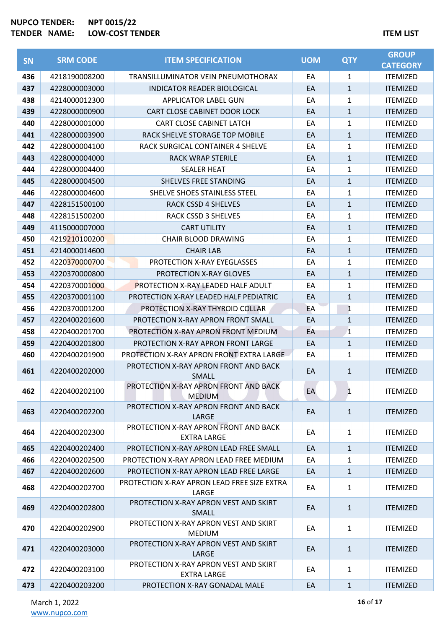| <b>SN</b> | <b>SRM CODE</b> | <b>ITEM SPECIFICATION</b>                                   | <b>UOM</b> | <b>QTY</b>   | <b>GROUP</b><br><b>CATEGORY</b> |
|-----------|-----------------|-------------------------------------------------------------|------------|--------------|---------------------------------|
| 436       | 4218190008200   | TRANSILLUMINATOR VEIN PNEUMOTHORAX                          | EA         | 1            | <b>ITEMIZED</b>                 |
| 437       | 4228000003000   | INDICATOR READER BIOLOGICAL                                 | EA         | $\mathbf{1}$ | <b>ITEMIZED</b>                 |
| 438       | 4214000012300   | <b>APPLICATOR LABEL GUN</b>                                 | EA         | 1            | <b>ITEMIZED</b>                 |
| 439       | 4228000000900   | CART CLOSE CABINET DOOR LOCK                                | EA         | $\mathbf{1}$ | <b>ITEMIZED</b>                 |
| 440       | 4228000001000   | CART CLOSE CABINET LATCH                                    | EA         | 1            | <b>ITEMIZED</b>                 |
| 441       | 4228000003900   | RACK SHELVE STORAGE TOP MOBILE                              | EA         | $\mathbf{1}$ | <b>ITEMIZED</b>                 |
| 442       | 4228000004100   | RACK SURGICAL CONTAINER 4 SHELVE                            | EA         | 1            | <b>ITEMIZED</b>                 |
| 443       | 4228000004000   | <b>RACK WRAP STERILE</b>                                    | EA         | $\mathbf{1}$ | <b>ITEMIZED</b>                 |
| 444       | 4228000004400   | <b>SEALER HEAT</b>                                          | EA         | 1            | <b>ITEMIZED</b>                 |
| 445       | 4228000004500   | SHELVES FREE STANDING                                       | EA         | $\mathbf{1}$ | <b>ITEMIZED</b>                 |
| 446       | 4228000004600   | SHELVE SHOES STAINLESS STEEL                                | EA         | 1            | <b>ITEMIZED</b>                 |
| 447       | 4228151500100   | <b>RACK CSSD 4 SHELVES</b>                                  | EA         | $\mathbf{1}$ | <b>ITEMIZED</b>                 |
| 448       | 4228151500200   | <b>RACK CSSD 3 SHELVES</b>                                  | EA         | 1            | <b>ITEMIZED</b>                 |
| 449       | 4115000007000   | <b>CART UTILITY</b>                                         | EA         | $\mathbf{1}$ | <b>ITEMIZED</b>                 |
| 450       | 4219210100200   | <b>CHAIR BLOOD DRAWING</b>                                  | EA         | 1            | <b>ITEMIZED</b>                 |
| 451       | 4214000014600   | <b>CHAIR LAB</b>                                            | EA         | $\mathbf{1}$ | <b>ITEMIZED</b>                 |
| 452       | 4220370000700   | PROTECTION X-RAY EYEGLASSES                                 | EA         | 1            | <b>ITEMIZED</b>                 |
| 453       | 4220370000800   | <b>PROTECTION X-RAY GLOVES</b>                              | EA         | $\mathbf{1}$ | <b>ITEMIZED</b>                 |
| 454       | 4220370001000   | <b>PROTECTION X-RAY LEADED HALF ADULT</b>                   | EA         | 1            | <b>ITEMIZED</b>                 |
| 455       | 4220370001100   | PROTECTION X-RAY LEADED HALF PEDIATRIC                      | EA         | $\mathbf{1}$ | <b>ITEMIZED</b>                 |
| 456       | 4220370001200   | PROTECTION X-RAY THYROID COLLAR                             | EA         | 1            | <b>ITEMIZED</b>                 |
| 457       | 4220400201600   | PROTECTION X-RAY APRON FRONT SMALL                          | EA         | $\mathbf{1}$ | <b>ITEMIZED</b>                 |
| 458       | 4220400201700   | PROTECTION X-RAY APRON FRONT MEDIUM                         | EA         | 1            | <b>ITEMIZED</b>                 |
| 459       | 4220400201800   | PROTECTION X-RAY APRON FRONT LARGE                          | EA         | $\mathbf{1}$ | <b>ITEMIZED</b>                 |
| 460       | 4220400201900   | PROTECTION X-RAY APRON FRONT EXTRA LARGE                    | EA         | 1            | <b>ITEMIZED</b>                 |
| 461       | 4220400202000   | PROTECTION X-RAY APRON FRONT AND BACK<br>SMALL              | EA         | $\mathbf{1}$ | <b>ITEMIZED</b>                 |
| 462       | 4220400202100   | PROTECTION X-RAY APRON FRONT AND BACK<br><b>MEDIUM</b>      | EA         | 1            | <b>ITEMIZED</b>                 |
| 463       | 4220400202200   | PROTECTION X-RAY APRON FRONT AND BACK<br>LARGE              | EA         | $\mathbf{1}$ | <b>ITEMIZED</b>                 |
| 464       | 4220400202300   | PROTECTION X-RAY APRON FRONT AND BACK<br><b>EXTRA LARGE</b> | EA         | 1            | <b>ITEMIZED</b>                 |
| 465       | 4220400202400   | PROTECTION X-RAY APRON LEAD FREE SMALL                      | EA         | $\mathbf{1}$ | <b>ITEMIZED</b>                 |
| 466       | 4220400202500   | PROTECTION X-RAY APRON LEAD FREE MEDIUM                     | EA         | 1            | <b>ITEMIZED</b>                 |
| 467       | 4220400202600   | PROTECTION X-RAY APRON LEAD FREE LARGE                      | EA         | $\mathbf{1}$ | <b>ITEMIZED</b>                 |
| 468       | 4220400202700   | PROTECTION X-RAY APRON LEAD FREE SIZE EXTRA<br>LARGE        | EA         | $\mathbf{1}$ | <b>ITEMIZED</b>                 |
| 469       | 4220400202800   | PROTECTION X-RAY APRON VEST AND SKIRT<br><b>SMALL</b>       | EA         | $\mathbf{1}$ | <b>ITEMIZED</b>                 |
| 470       | 4220400202900   | PROTECTION X-RAY APRON VEST AND SKIRT<br><b>MEDIUM</b>      | EA         | 1            | <b>ITEMIZED</b>                 |
| 471       | 4220400203000   | PROTECTION X-RAY APRON VEST AND SKIRT<br>LARGE              | EA         | $\mathbf{1}$ | <b>ITEMIZED</b>                 |
| 472       | 4220400203100   | PROTECTION X-RAY APRON VEST AND SKIRT<br><b>EXTRA LARGE</b> | EA         | $\mathbf{1}$ | <b>ITEMIZED</b>                 |
| 473       | 4220400203200   | PROTECTION X-RAY GONADAL MALE                               | EA         | $\mathbf{1}$ | <b>ITEMIZED</b>                 |